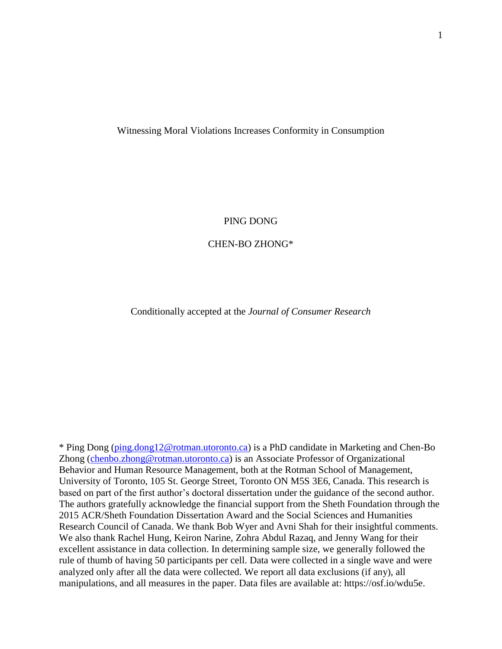## Witnessing Moral Violations Increases Conformity in Consumption

PING DONG

CHEN-BO ZHONG\*

Conditionally accepted at the *Journal of Consumer Research*

\* Ping Dong [\(ping.dong12@rotman.utoronto.ca\)](mailto:ping.dong12@rotman.utoronto.ca) is a PhD candidate in Marketing and Chen-Bo Zhong (chenbo.zhong@rotman.utoronto.ca) is an Associate Professor of Organizational Behavior and Human Resource Management, both at the Rotman School of Management, University of Toronto, 105 St. George Street, Toronto ON M5S 3E6, Canada. This research is based on part of the first author's doctoral dissertation under the guidance of the second author. The authors gratefully acknowledge the financial support from the Sheth Foundation through the 2015 ACR/Sheth Foundation Dissertation Award and the Social Sciences and Humanities Research Council of Canada. We thank Bob Wyer and Avni Shah for their insightful comments. We also thank Rachel Hung, Keiron Narine, Zohra Abdul Razaq, and Jenny Wang for their excellent assistance in data collection. In determining sample size, we generally followed the rule of thumb of having 50 participants per cell. Data were collected in a single wave and were analyzed only after all the data were collected. We report all data exclusions (if any), all manipulations, and all measures in the paper. Data files are available at: https://osf.io/wdu5e.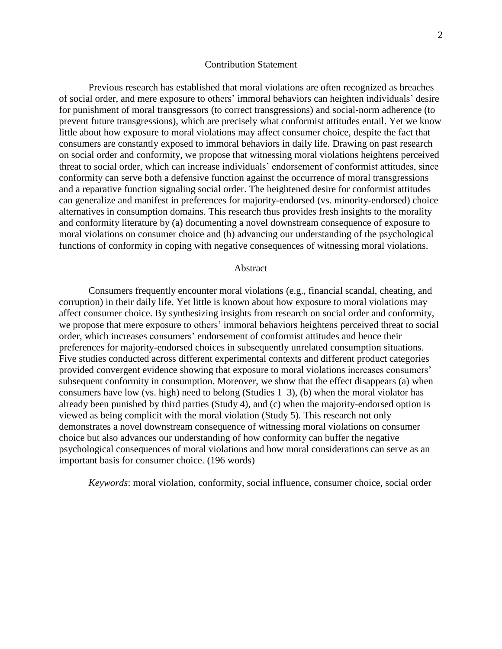#### Contribution Statement

Previous research has established that moral violations are often recognized as breaches of social order, and mere exposure to others' immoral behaviors can heighten individuals' desire for punishment of moral transgressors (to correct transgressions) and social-norm adherence (to prevent future transgressions), which are precisely what conformist attitudes entail. Yet we know little about how exposure to moral violations may affect consumer choice, despite the fact that consumers are constantly exposed to immoral behaviors in daily life. Drawing on past research on social order and conformity, we propose that witnessing moral violations heightens perceived threat to social order, which can increase individuals' endorsement of conformist attitudes, since conformity can serve both a defensive function against the occurrence of moral transgressions and a reparative function signaling social order. The heightened desire for conformist attitudes can generalize and manifest in preferences for majority-endorsed (vs. minority-endorsed) choice alternatives in consumption domains. This research thus provides fresh insights to the morality and conformity literature by (a) documenting a novel downstream consequence of exposure to moral violations on consumer choice and (b) advancing our understanding of the psychological functions of conformity in coping with negative consequences of witnessing moral violations.

#### Abstract

Consumers frequently encounter moral violations (e.g., financial scandal, cheating, and corruption) in their daily life. Yet little is known about how exposure to moral violations may affect consumer choice. By synthesizing insights from research on social order and conformity, we propose that mere exposure to others' immoral behaviors heightens perceived threat to social order, which increases consumers' endorsement of conformist attitudes and hence their preferences for majority-endorsed choices in subsequently unrelated consumption situations. Five studies conducted across different experimental contexts and different product categories provided convergent evidence showing that exposure to moral violations increases consumers' subsequent conformity in consumption. Moreover, we show that the effect disappears (a) when consumers have low (vs. high) need to belong (Studies 1–3), (b) when the moral violator has already been punished by third parties (Study 4), and (c) when the majority-endorsed option is viewed as being complicit with the moral violation (Study 5). This research not only demonstrates a novel downstream consequence of witnessing moral violations on consumer choice but also advances our understanding of how conformity can buffer the negative psychological consequences of moral violations and how moral considerations can serve as an important basis for consumer choice. (196 words)

*Keywords*: moral violation, conformity, social influence, consumer choice, social order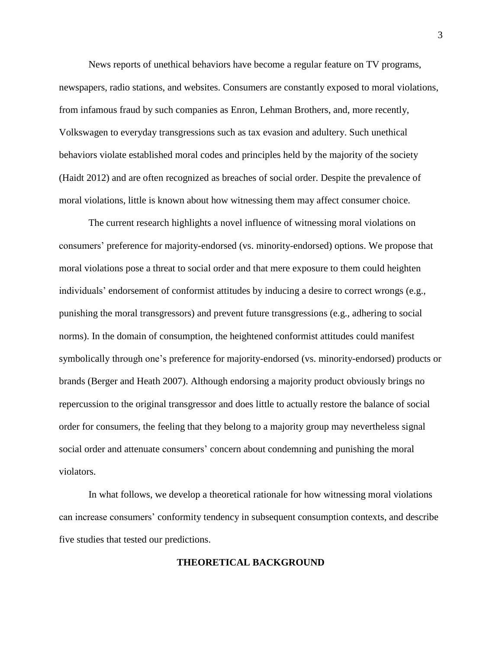News reports of unethical behaviors have become a regular feature on TV programs, newspapers, radio stations, and websites. Consumers are constantly exposed to moral violations, from infamous fraud by such companies as Enron, Lehman Brothers, and, more recently, Volkswagen to everyday transgressions such as tax evasion and adultery. Such unethical behaviors violate established moral codes and principles held by the majority of the society (Haidt 2012) and are often recognized as breaches of social order. Despite the prevalence of moral violations, little is known about how witnessing them may affect consumer choice.

The current research highlights a novel influence of witnessing moral violations on consumers' preference for majority-endorsed (vs. minority-endorsed) options. We propose that moral violations pose a threat to social order and that mere exposure to them could heighten individuals' endorsement of conformist attitudes by inducing a desire to correct wrongs (e.g., punishing the moral transgressors) and prevent future transgressions (e.g., adhering to social norms). In the domain of consumption, the heightened conformist attitudes could manifest symbolically through one's preference for majority-endorsed (vs. minority-endorsed) products or brands (Berger and Heath 2007). Although endorsing a majority product obviously brings no repercussion to the original transgressor and does little to actually restore the balance of social order for consumers, the feeling that they belong to a majority group may nevertheless signal social order and attenuate consumers' concern about condemning and punishing the moral violators.

In what follows, we develop a theoretical rationale for how witnessing moral violations can increase consumers' conformity tendency in subsequent consumption contexts, and describe five studies that tested our predictions.

## **THEORETICAL BACKGROUND**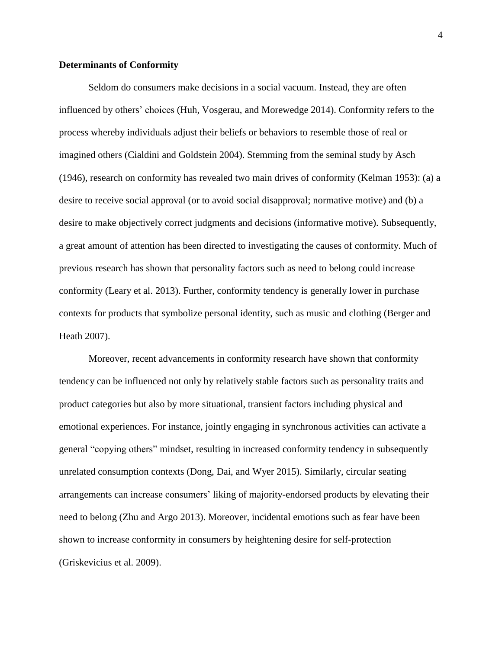### **Determinants of Conformity**

Seldom do consumers make decisions in a social vacuum. Instead, they are often influenced by others' choices (Huh, Vosgerau, and Morewedge 2014). Conformity refers to the process whereby individuals adjust their beliefs or behaviors to resemble those of real or imagined others (Cialdini and Goldstein 2004). Stemming from the seminal study by Asch (1946), research on conformity has revealed two main drives of conformity (Kelman 1953): (a) a desire to receive social approval (or to avoid social disapproval; normative motive) and (b) a desire to make objectively correct judgments and decisions (informative motive). Subsequently, a great amount of attention has been directed to investigating the causes of conformity. Much of previous research has shown that personality factors such as need to belong could increase conformity (Leary et al. 2013). Further, conformity tendency is generally lower in purchase contexts for products that symbolize personal identity, such as music and clothing (Berger and Heath 2007).

Moreover, recent advancements in conformity research have shown that conformity tendency can be influenced not only by relatively stable factors such as personality traits and product categories but also by more situational, transient factors including physical and emotional experiences. For instance, jointly engaging in synchronous activities can activate a general "copying others" mindset, resulting in increased conformity tendency in subsequently unrelated consumption contexts (Dong, Dai, and Wyer 2015). Similarly, circular seating arrangements can increase consumers' liking of majority-endorsed products by elevating their need to belong (Zhu and Argo 2013). Moreover, incidental emotions such as fear have been shown to increase conformity in consumers by heightening desire for self-protection (Griskevicius et al. 2009).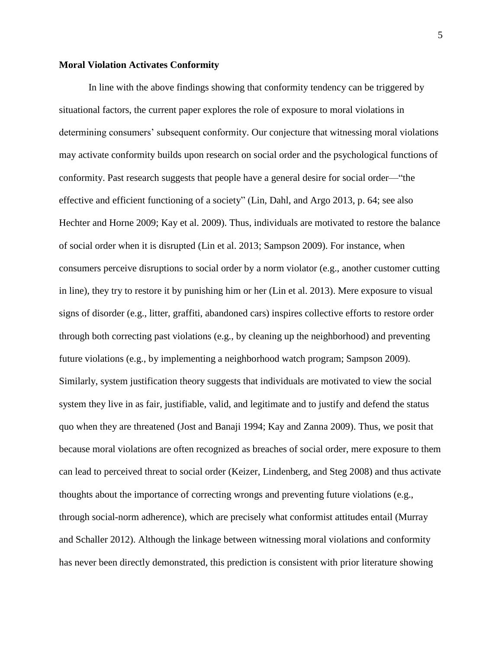### **Moral Violation Activates Conformity**

In line with the above findings showing that conformity tendency can be triggered by situational factors, the current paper explores the role of exposure to moral violations in determining consumers' subsequent conformity. Our conjecture that witnessing moral violations may activate conformity builds upon research on social order and the psychological functions of conformity. Past research suggests that people have a general desire for social order—"the effective and efficient functioning of a society" (Lin, Dahl, and Argo 2013, p. 64; see also Hechter and Horne 2009; Kay et al. 2009). Thus, individuals are motivated to restore the balance of social order when it is disrupted (Lin et al. 2013; Sampson 2009). For instance, when consumers perceive disruptions to social order by a norm violator (e.g., another customer cutting in line), they try to restore it by punishing him or her (Lin et al. 2013). Mere exposure to visual signs of disorder (e.g., litter, graffiti, abandoned cars) inspires collective efforts to restore order through both correcting past violations (e.g., by cleaning up the neighborhood) and preventing future violations (e.g., by implementing a neighborhood watch program; Sampson 2009). Similarly, system justification theory suggests that individuals are motivated to view the social system they live in as fair, justifiable, valid, and legitimate and to justify and defend the status quo when they are threatened (Jost and Banaji 1994; Kay and Zanna 2009). Thus, we posit that because moral violations are often recognized as breaches of social order, mere exposure to them can lead to perceived threat to social order (Keizer, Lindenberg, and Steg 2008) and thus activate thoughts about the importance of correcting wrongs and preventing future violations (e.g., through social-norm adherence), which are precisely what conformist attitudes entail (Murray and Schaller 2012). Although the linkage between witnessing moral violations and conformity has never been directly demonstrated, this prediction is consistent with prior literature showing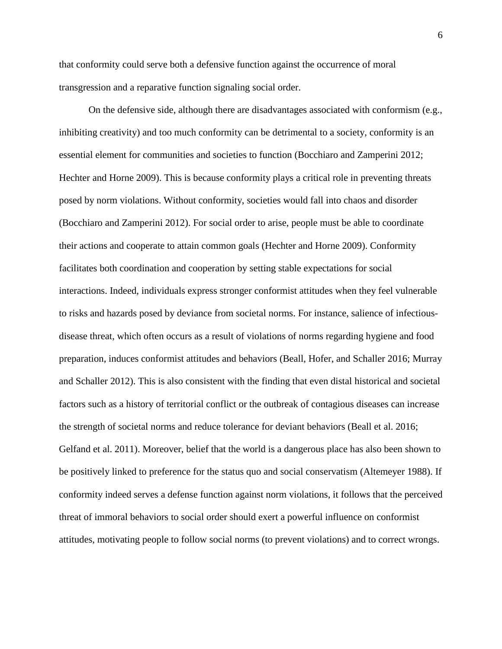that conformity could serve both a defensive function against the occurrence of moral transgression and a reparative function signaling social order.

On the defensive side, although there are disadvantages associated with conformism (e.g., inhibiting creativity) and too much conformity can be detrimental to a society, conformity is an essential element for communities and societies to function (Bocchiaro and Zamperini 2012; Hechter and Horne 2009). This is because conformity plays a critical role in preventing threats posed by norm violations. Without conformity, societies would fall into chaos and disorder (Bocchiaro and Zamperini 2012). For social order to arise, people must be able to coordinate their actions and cooperate to attain common goals (Hechter and Horne 2009). Conformity facilitates both coordination and cooperation by setting stable expectations for social interactions. Indeed, individuals express stronger conformist attitudes when they feel vulnerable to risks and hazards posed by deviance from societal norms. For instance, salience of infectiousdisease threat, which often occurs as a result of violations of norms regarding hygiene and food preparation, induces conformist attitudes and behaviors (Beall, Hofer, and Schaller 2016; Murray and Schaller 2012). This is also consistent with the finding that even distal historical and societal factors such as a history of territorial conflict or the outbreak of contagious diseases can increase the strength of societal norms and reduce tolerance for deviant behaviors (Beall et al. 2016; Gelfand et al. 2011). Moreover, belief that the world is a dangerous place has also been shown to be positively linked to preference for the status quo and social conservatism (Altemeyer 1988). If conformity indeed serves a defense function against norm violations, it follows that the perceived threat of immoral behaviors to social order should exert a powerful influence on conformist attitudes, motivating people to follow social norms (to prevent violations) and to correct wrongs.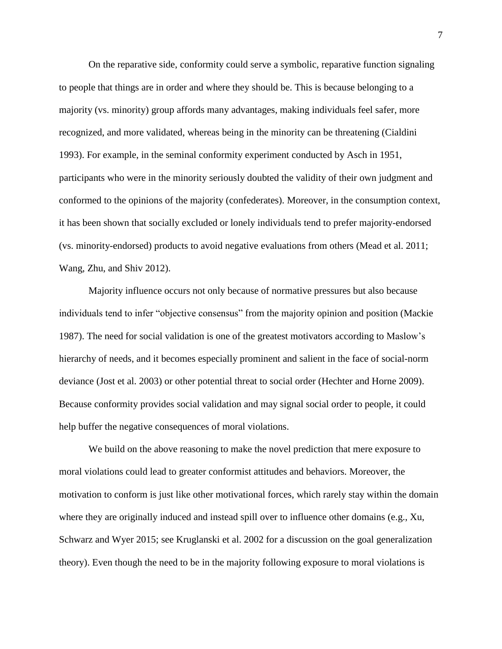On the reparative side, conformity could serve a symbolic, reparative function signaling to people that things are in order and where they should be. This is because belonging to a majority (vs. minority) group affords many advantages, making individuals feel safer, more recognized, and more validated, whereas being in the minority can be threatening (Cialdini 1993). For example, in the seminal conformity experiment conducted by Asch in 1951, participants who were in the minority seriously doubted the validity of their own judgment and conformed to the opinions of the majority (confederates). Moreover, in the consumption context, it has been shown that socially excluded or lonely individuals tend to prefer majority-endorsed (vs. minority-endorsed) products to avoid negative evaluations from others (Mead et al. 2011; Wang, Zhu, and Shiv 2012).

Majority influence occurs not only because of normative pressures but also because individuals tend to infer "objective consensus" from the majority opinion and position (Mackie 1987). The need for social validation is one of the greatest motivators according to Maslow's hierarchy of needs, and it becomes especially prominent and salient in the face of social-norm deviance (Jost et al. 2003) or other potential threat to social order (Hechter and Horne 2009). Because conformity provides social validation and may signal social order to people, it could help buffer the negative consequences of moral violations.

We build on the above reasoning to make the novel prediction that mere exposure to moral violations could lead to greater conformist attitudes and behaviors. Moreover, the motivation to conform is just like other motivational forces, which rarely stay within the domain where they are originally induced and instead spill over to influence other domains (e.g., Xu, Schwarz and Wyer 2015; see Kruglanski et al. 2002 for a discussion on the goal generalization theory). Even though the need to be in the majority following exposure to moral violations is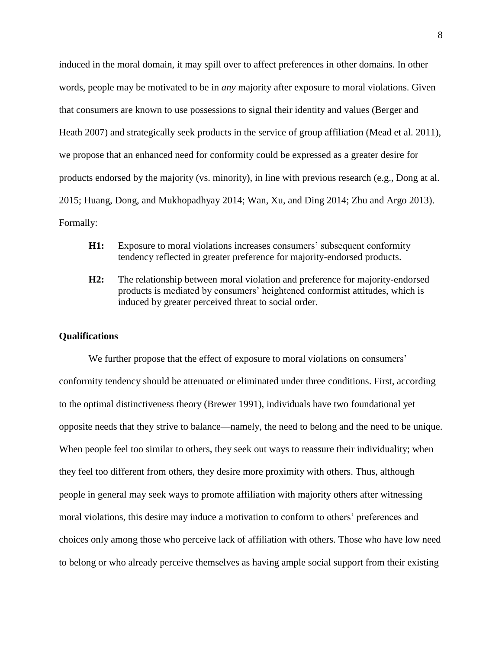induced in the moral domain, it may spill over to affect preferences in other domains. In other words, people may be motivated to be in *any* majority after exposure to moral violations. Given that consumers are known to use possessions to signal their identity and values (Berger and Heath 2007) and strategically seek products in the service of group affiliation (Mead et al. 2011), we propose that an enhanced need for conformity could be expressed as a greater desire for products endorsed by the majority (vs. minority), in line with previous research (e.g., Dong at al. 2015; Huang, Dong, and Mukhopadhyay 2014; Wan, Xu, and Ding 2014; Zhu and Argo 2013). Formally:

- **H1:** Exposure to moral violations increases consumers' subsequent conformity tendency reflected in greater preference for majority-endorsed products.
- **H2:** The relationship between moral violation and preference for majority-endorsed products is mediated by consumers' heightened conformist attitudes, which is induced by greater perceived threat to social order.

#### **Qualifications**

We further propose that the effect of exposure to moral violations on consumers' conformity tendency should be attenuated or eliminated under three conditions. First, according to the optimal distinctiveness theory (Brewer 1991), individuals have two foundational yet opposite needs that they strive to balance—namely, the need to belong and the need to be unique. When people feel too similar to others, they seek out ways to reassure their individuality; when they feel too different from others, they desire more proximity with others. Thus, although people in general may seek ways to promote affiliation with majority others after witnessing moral violations, this desire may induce a motivation to conform to others' preferences and choices only among those who perceive lack of affiliation with others. Those who have low need to belong or who already perceive themselves as having ample social support from their existing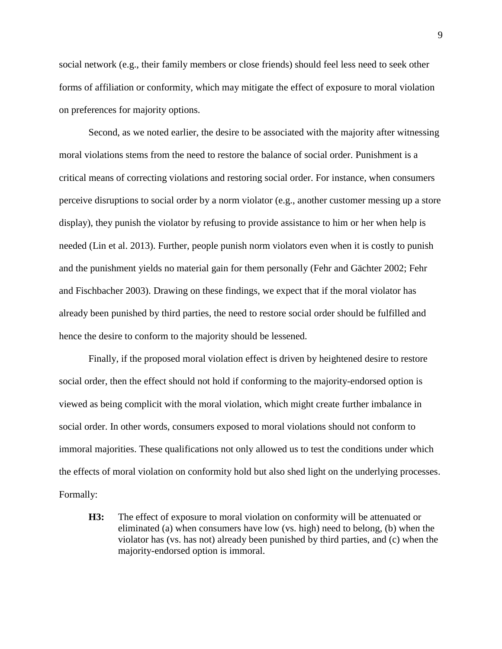social network (e.g., their family members or close friends) should feel less need to seek other forms of affiliation or conformity, which may mitigate the effect of exposure to moral violation on preferences for majority options.

Second, as we noted earlier, the desire to be associated with the majority after witnessing moral violations stems from the need to restore the balance of social order. Punishment is a critical means of correcting violations and restoring social order. For instance, when consumers perceive disruptions to social order by a norm violator (e.g., another customer messing up a store display), they punish the violator by refusing to provide assistance to him or her when help is needed (Lin et al. 2013). Further, people punish norm violators even when it is costly to punish and the punishment yields no material gain for them personally (Fehr and Gächter 2002; Fehr and Fischbacher 2003). Drawing on these findings, we expect that if the moral violator has already been punished by third parties, the need to restore social order should be fulfilled and hence the desire to conform to the majority should be lessened.

Finally, if the proposed moral violation effect is driven by heightened desire to restore social order, then the effect should not hold if conforming to the majority-endorsed option is viewed as being complicit with the moral violation, which might create further imbalance in social order. In other words, consumers exposed to moral violations should not conform to immoral majorities. These qualifications not only allowed us to test the conditions under which the effects of moral violation on conformity hold but also shed light on the underlying processes. Formally:

**H3:** The effect of exposure to moral violation on conformity will be attenuated or eliminated (a) when consumers have low (vs. high) need to belong, (b) when the violator has (vs. has not) already been punished by third parties, and (c) when the majority-endorsed option is immoral.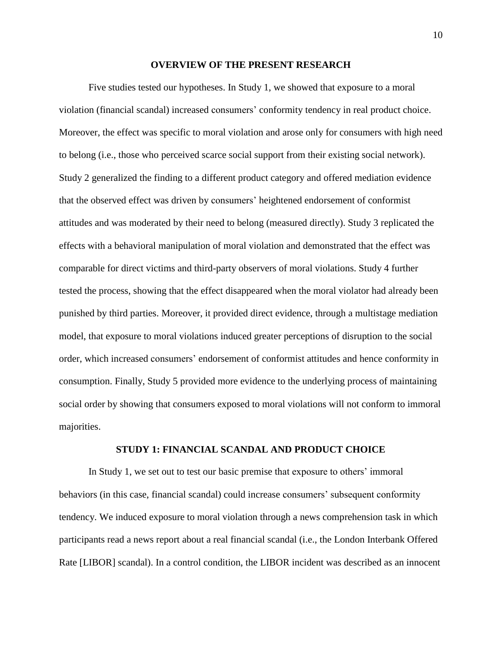#### **OVERVIEW OF THE PRESENT RESEARCH**

Five studies tested our hypotheses. In Study 1, we showed that exposure to a moral violation (financial scandal) increased consumers' conformity tendency in real product choice. Moreover, the effect was specific to moral violation and arose only for consumers with high need to belong (i.e., those who perceived scarce social support from their existing social network). Study 2 generalized the finding to a different product category and offered mediation evidence that the observed effect was driven by consumers' heightened endorsement of conformist attitudes and was moderated by their need to belong (measured directly). Study 3 replicated the effects with a behavioral manipulation of moral violation and demonstrated that the effect was comparable for direct victims and third-party observers of moral violations. Study 4 further tested the process, showing that the effect disappeared when the moral violator had already been punished by third parties. Moreover, it provided direct evidence, through a multistage mediation model, that exposure to moral violations induced greater perceptions of disruption to the social order, which increased consumers' endorsement of conformist attitudes and hence conformity in consumption. Finally, Study 5 provided more evidence to the underlying process of maintaining social order by showing that consumers exposed to moral violations will not conform to immoral majorities.

#### **STUDY 1: FINANCIAL SCANDAL AND PRODUCT CHOICE**

In Study 1, we set out to test our basic premise that exposure to others' immoral behaviors (in this case, financial scandal) could increase consumers' subsequent conformity tendency. We induced exposure to moral violation through a news comprehension task in which participants read a news report about a real financial scandal (i.e., the London Interbank Offered Rate [LIBOR] scandal). In a control condition, the LIBOR incident was described as an innocent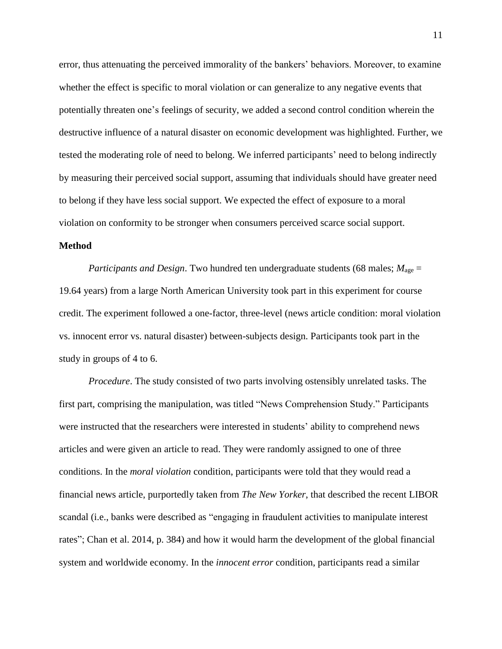error, thus attenuating the perceived immorality of the bankers' behaviors. Moreover, to examine whether the effect is specific to moral violation or can generalize to any negative events that potentially threaten one's feelings of security, we added a second control condition wherein the destructive influence of a natural disaster on economic development was highlighted. Further, we tested the moderating role of need to belong. We inferred participants' need to belong indirectly by measuring their perceived social support, assuming that individuals should have greater need to belong if they have less social support. We expected the effect of exposure to a moral violation on conformity to be stronger when consumers perceived scarce social support.

## **Method**

*Participants and Design*. Two hundred ten undergraduate students (68 males;  $M_{\text{age}} =$ 19.64 years) from a large North American University took part in this experiment for course credit. The experiment followed a one-factor, three-level (news article condition: moral violation vs. innocent error vs. natural disaster) between-subjects design. Participants took part in the study in groups of 4 to 6.

*Procedure*. The study consisted of two parts involving ostensibly unrelated tasks. The first part, comprising the manipulation, was titled "News Comprehension Study." Participants were instructed that the researchers were interested in students' ability to comprehend news articles and were given an article to read. They were randomly assigned to one of three conditions. In the *moral violation* condition, participants were told that they would read a financial news article, purportedly taken from *The New Yorker*, that described the recent LIBOR scandal (i.e., banks were described as "engaging in fraudulent activities to manipulate interest rates"; Chan et al. 2014, p. 384) and how it would harm the development of the global financial system and worldwide economy. In the *innocent error* condition, participants read a similar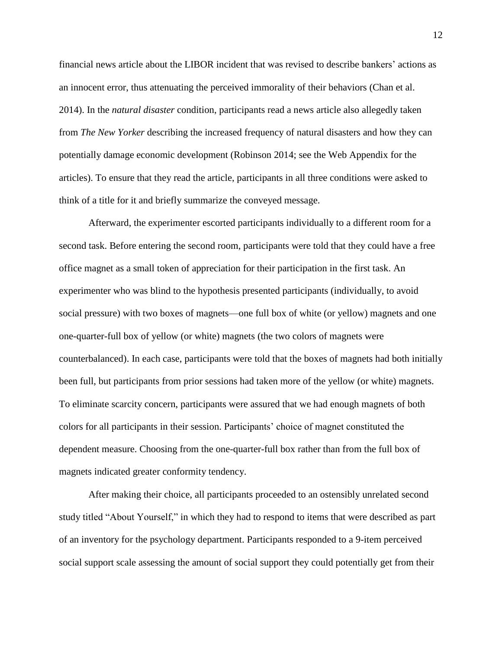financial news article about the LIBOR incident that was revised to describe bankers' actions as an innocent error, thus attenuating the perceived immorality of their behaviors (Chan et al. 2014). In the *natural disaster* condition, participants read a news article also allegedly taken from *The New Yorker* describing the increased frequency of natural disasters and how they can potentially damage economic development (Robinson 2014; see the Web Appendix for the articles). To ensure that they read the article, participants in all three conditions were asked to think of a title for it and briefly summarize the conveyed message.

Afterward, the experimenter escorted participants individually to a different room for a second task. Before entering the second room, participants were told that they could have a free office magnet as a small token of appreciation for their participation in the first task. An experimenter who was blind to the hypothesis presented participants (individually, to avoid social pressure) with two boxes of magnets—one full box of white (or yellow) magnets and one one-quarter-full box of yellow (or white) magnets (the two colors of magnets were counterbalanced). In each case, participants were told that the boxes of magnets had both initially been full, but participants from prior sessions had taken more of the yellow (or white) magnets. To eliminate scarcity concern, participants were assured that we had enough magnets of both colors for all participants in their session. Participants' choice of magnet constituted the dependent measure. Choosing from the one-quarter-full box rather than from the full box of magnets indicated greater conformity tendency.

After making their choice, all participants proceeded to an ostensibly unrelated second study titled "About Yourself," in which they had to respond to items that were described as part of an inventory for the psychology department. Participants responded to a 9-item perceived social support scale assessing the amount of social support they could potentially get from their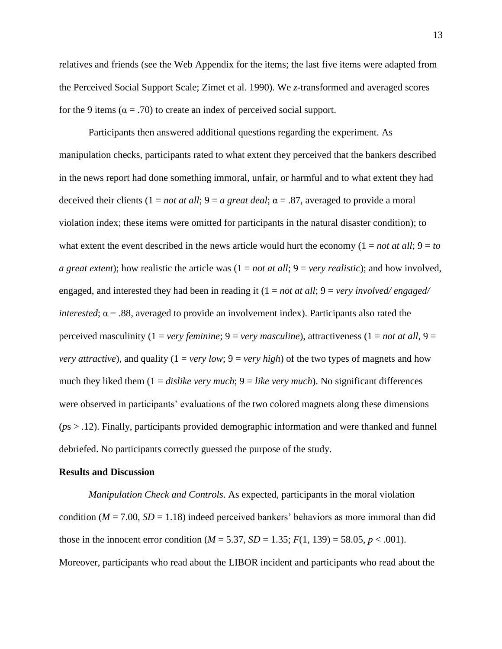relatives and friends (see the Web Appendix for the items; the last five items were adapted from the Perceived Social Support Scale; Zimet et al. 1990). We *z*-transformed and averaged scores for the 9 items ( $\alpha$  = .70) to create an index of perceived social support.

Participants then answered additional questions regarding the experiment. As manipulation checks, participants rated to what extent they perceived that the bankers described in the news report had done something immoral, unfair, or harmful and to what extent they had deceived their clients  $(1 = not at all; 9 = a great deal; \alpha = .87$ , averaged to provide a moral violation index; these items were omitted for participants in the natural disaster condition); to what extent the event described in the news article would hurt the economy  $(1 = not at all; 9 = to$ *a great extent*); how realistic the article was  $(1 = not at all; 9 = very realistic)$ ; and how involved, engaged, and interested they had been in reading it (1 = *not at all*; 9 = *very involved/ engaged/ interested*;  $\alpha$  = .88, averaged to provide an involvement index). Participants also rated the perceived masculinity (1 = *very feminine*; 9 = *very masculine*), attractiveness (1 = *not at all*, 9 = *very attractive*), and quality ( $1 = \text{very low}$ ;  $9 = \text{very high}$ ) of the two types of magnets and how much they liked them  $(1 - \text{dislike very much}; 9 - \text{like very much})$ . No significant differences were observed in participants' evaluations of the two colored magnets along these dimensions (*p*s > .12). Finally, participants provided demographic information and were thanked and funnel debriefed. No participants correctly guessed the purpose of the study.

#### **Results and Discussion**

*Manipulation Check and Controls*. As expected, participants in the moral violation condition ( $M = 7.00$ ,  $SD = 1.18$ ) indeed perceived bankers' behaviors as more immoral than did those in the innocent error condition ( $M = 5.37$ ,  $SD = 1.35$ ;  $F(1, 139) = 58.05$ ,  $p < .001$ ). Moreover, participants who read about the LIBOR incident and participants who read about the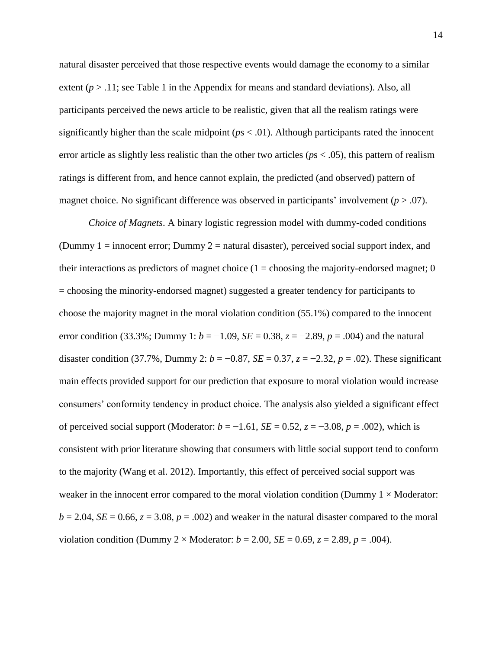natural disaster perceived that those respective events would damage the economy to a similar extent  $(p > 0.11)$ ; see Table 1 in the Appendix for means and standard deviations). Also, all participants perceived the news article to be realistic, given that all the realism ratings were significantly higher than the scale midpoint ( $p_s$  < .01). Although participants rated the innocent error article as slightly less realistic than the other two articles ( $p_s < .05$ ), this pattern of realism ratings is different from, and hence cannot explain, the predicted (and observed) pattern of magnet choice. No significant difference was observed in participants' involvement  $(p > .07)$ .

*Choice of Magnets*. A binary logistic regression model with dummy-coded conditions (Dummy 1 = innocent error; Dummy 2 = natural disaster), perceived social support index, and their interactions as predictors of magnet choice  $(1 = \text{choosing the majority-endorsed magnet}; 0$ = choosing the minority-endorsed magnet) suggested a greater tendency for participants to choose the majority magnet in the moral violation condition (55.1%) compared to the innocent error condition (33.3%; Dummy 1:  $b = -1.09$ ,  $SE = 0.38$ ,  $z = -2.89$ ,  $p = .004$ ) and the natural disaster condition (37.7%, Dummy 2:  $b = -0.87$ ,  $SE = 0.37$ ,  $z = -2.32$ ,  $p = .02$ ). These significant main effects provided support for our prediction that exposure to moral violation would increase consumers' conformity tendency in product choice. The analysis also yielded a significant effect of perceived social support (Moderator:  $b = -1.61$ ,  $SE = 0.52$ ,  $z = -3.08$ ,  $p = .002$ ), which is consistent with prior literature showing that consumers with little social support tend to conform to the majority (Wang et al. 2012). Importantly, this effect of perceived social support was weaker in the innocent error compared to the moral violation condition (Dummy  $1 \times$  Moderator:  $b = 2.04$ ,  $SE = 0.66$ ,  $z = 3.08$ ,  $p = .002$ ) and weaker in the natural disaster compared to the moral violation condition (Dummy  $2 \times$  Moderator:  $b = 2.00$ ,  $SE = 0.69$ ,  $z = 2.89$ ,  $p = .004$ ).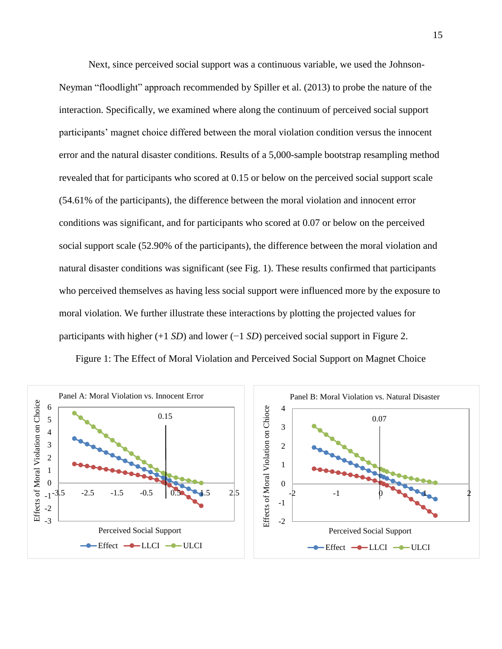Next, since perceived social support was a continuous variable, we used the Johnson-Neyman "floodlight" approach recommended by Spiller et al. (2013) to probe the nature of the interaction. Specifically, we examined where along the continuum of perceived social support participants' magnet choice differed between the moral violation condition versus the innocent error and the natural disaster conditions. Results of a 5,000-sample bootstrap resampling method revealed that for participants who scored at 0.15 or below on the perceived social support scale (54.61% of the participants), the difference between the moral violation and innocent error conditions was significant, and for participants who scored at 0.07 or below on the perceived social support scale (52.90% of the participants), the difference between the moral violation and natural disaster conditions was significant (see Fig. 1). These results confirmed that participants who perceived themselves as having less social support were influenced more by the exposure to moral violation. We further illustrate these interactions by plotting the projected values for participants with higher (+1 *SD*) and lower (−1 *SD*) perceived social support in Figure 2.

Figure 1: The Effect of Moral Violation and Perceived Social Support on Magnet Choice

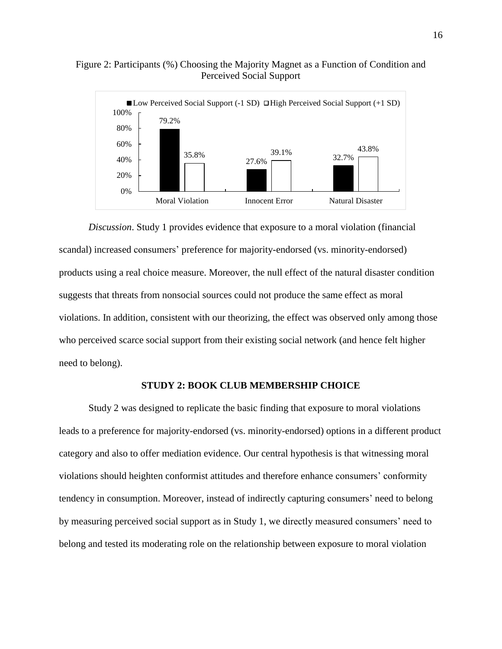



*Discussion*. Study 1 provides evidence that exposure to a moral violation (financial scandal) increased consumers' preference for majority-endorsed (vs. minority-endorsed) products using a real choice measure. Moreover, the null effect of the natural disaster condition suggests that threats from nonsocial sources could not produce the same effect as moral violations. In addition, consistent with our theorizing, the effect was observed only among those who perceived scarce social support from their existing social network (and hence felt higher need to belong).

#### **STUDY 2: BOOK CLUB MEMBERSHIP CHOICE**

Study 2 was designed to replicate the basic finding that exposure to moral violations leads to a preference for majority-endorsed (vs. minority-endorsed) options in a different product category and also to offer mediation evidence. Our central hypothesis is that witnessing moral violations should heighten conformist attitudes and therefore enhance consumers' conformity tendency in consumption. Moreover, instead of indirectly capturing consumers' need to belong by measuring perceived social support as in Study 1, we directly measured consumers' need to belong and tested its moderating role on the relationship between exposure to moral violation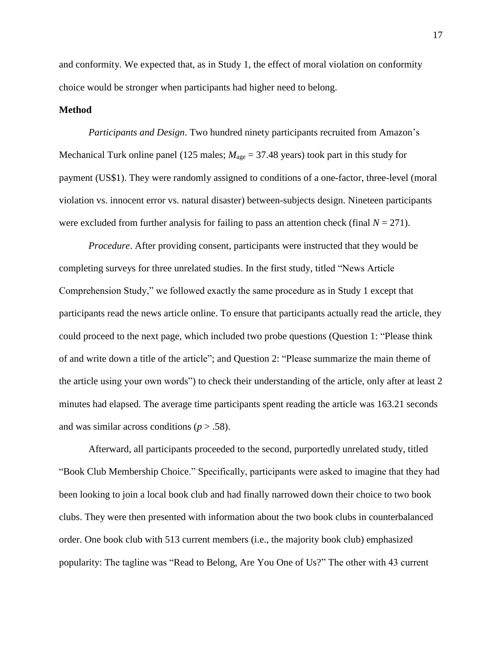and conformity. We expected that, as in Study 1, the effect of moral violation on conformity choice would be stronger when participants had higher need to belong.

### **Method**

*Participants and Design*. Two hundred ninety participants recruited from Amazon's Mechanical Turk online panel (125 males;  $M_{\text{age}} = 37.48$  years) took part in this study for payment (US\$1). They were randomly assigned to conditions of a one-factor, three-level (moral violation vs. innocent error vs. natural disaster) between-subjects design. Nineteen participants were excluded from further analysis for failing to pass an attention check (final  $N = 271$ ).

*Procedure*. After providing consent, participants were instructed that they would be completing surveys for three unrelated studies. In the first study, titled "News Article Comprehension Study," we followed exactly the same procedure as in Study 1 except that participants read the news article online. To ensure that participants actually read the article, they could proceed to the next page, which included two probe questions (Question 1: "Please think of and write down a title of the article"; and Question 2: "Please summarize the main theme of the article using your own words") to check their understanding of the article, only after at least 2 minutes had elapsed. The average time participants spent reading the article was 163.21 seconds and was similar across conditions ( $p > .58$ ).

Afterward, all participants proceeded to the second, purportedly unrelated study, titled "Book Club Membership Choice." Specifically, participants were asked to imagine that they had been looking to join a local book club and had finally narrowed down their choice to two book clubs. They were then presented with information about the two book clubs in counterbalanced order. One book club with 513 current members (i.e., the majority book club) emphasized popularity: The tagline was "Read to Belong, Are You One of Us?" The other with 43 current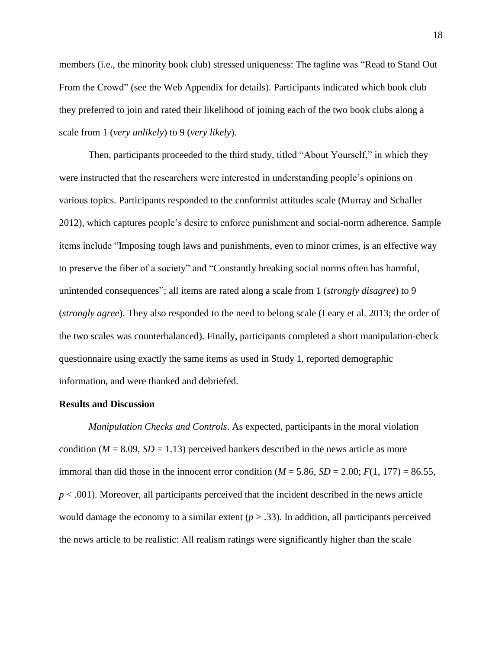members (i.e., the minority book club) stressed uniqueness: The tagline was "Read to Stand Out From the Crowd" (see the Web Appendix for details). Participants indicated which book club they preferred to join and rated their likelihood of joining each of the two book clubs along a scale from 1 (*very unlikely*) to 9 (*very likely*).

Then, participants proceeded to the third study, titled "About Yourself," in which they were instructed that the researchers were interested in understanding people's opinions on various topics. Participants responded to the conformist attitudes scale (Murray and Schaller 2012), which captures people's desire to enforce punishment and social-norm adherence. Sample items include "Imposing tough laws and punishments, even to minor crimes, is an effective way to preserve the fiber of a society" and "Constantly breaking social norms often has harmful, unintended consequences"; all items are rated along a scale from 1 (*strongly disagree*) to 9 (*strongly agree*). They also responded to the need to belong scale (Leary et al. 2013; the order of the two scales was counterbalanced). Finally, participants completed a short manipulation-check questionnaire using exactly the same items as used in Study 1, reported demographic information, and were thanked and debriefed.

#### **Results and Discussion**

*Manipulation Checks and Controls*. As expected, participants in the moral violation condition ( $M = 8.09$ ,  $SD = 1.13$ ) perceived bankers described in the news article as more immoral than did those in the innocent error condition ( $M = 5.86$ ,  $SD = 2.00$ ;  $F(1, 177) = 86.55$ , *p* < .001). Moreover, all participants perceived that the incident described in the news article would damage the economy to a similar extent  $(p > .33)$ . In addition, all participants perceived the news article to be realistic: All realism ratings were significantly higher than the scale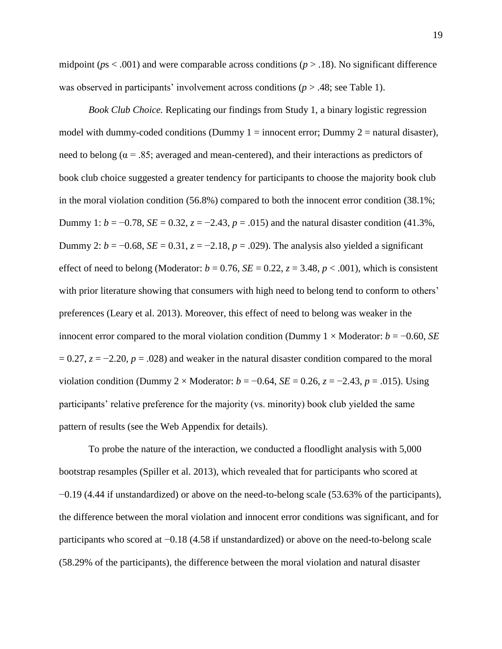midpoint ( $ps < .001$ ) and were comparable across conditions ( $p > .18$ ). No significant difference was observed in participants' involvement across conditions  $(p > .48)$ ; see Table 1).

*Book Club Choice.* Replicating our findings from Study 1, a binary logistic regression model with dummy-coded conditions (Dummy  $1 =$  innocent error; Dummy  $2 =$  natural disaster), need to belong ( $\alpha$  = .85; averaged and mean-centered), and their interactions as predictors of book club choice suggested a greater tendency for participants to choose the majority book club in the moral violation condition (56.8%) compared to both the innocent error condition (38.1%; Dummy 1:  $b = -0.78$ ,  $SE = 0.32$ ,  $z = -2.43$ ,  $p = .015$ ) and the natural disaster condition (41.3%, Dummy 2:  $b = -0.68$ ,  $SE = 0.31$ ,  $z = -2.18$ ,  $p = .029$ ). The analysis also yielded a significant effect of need to belong (Moderator:  $b = 0.76$ ,  $SE = 0.22$ ,  $z = 3.48$ ,  $p < .001$ ), which is consistent with prior literature showing that consumers with high need to belong tend to conform to others' preferences (Leary et al. 2013). Moreover, this effect of need to belong was weaker in the innocent error compared to the moral violation condition (Dummy  $1 \times$  Moderator:  $b = -0.60$ , *SE* = 0.27, *z* = −2.20, *p* = .028) and weaker in the natural disaster condition compared to the moral violation condition (Dummy 2 × Moderator:  $b = -0.64$ ,  $SE = 0.26$ ,  $z = -2.43$ ,  $p = .015$ ). Using participants' relative preference for the majority (vs. minority) book club yielded the same pattern of results (see the Web Appendix for details).

To probe the nature of the interaction, we conducted a floodlight analysis with 5,000 bootstrap resamples (Spiller et al. 2013), which revealed that for participants who scored at −0.19 (4.44 if unstandardized) or above on the need-to-belong scale (53.63% of the participants), the difference between the moral violation and innocent error conditions was significant, and for participants who scored at −0.18 (4.58 if unstandardized) or above on the need-to-belong scale (58.29% of the participants), the difference between the moral violation and natural disaster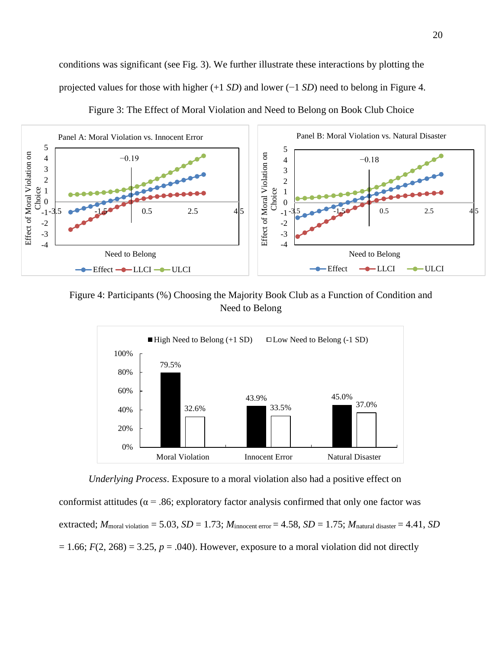conditions was significant (see Fig. 3). We further illustrate these interactions by plotting the projected values for those with higher (+1 *SD*) and lower (−1 *SD*) need to belong in Figure 4.



Figure 3: The Effect of Moral Violation and Need to Belong on Book Club Choice

Figure 4: Participants (%) Choosing the Majority Book Club as a Function of Condition and Need to Belong



*Underlying Process*. Exposure to a moral violation also had a positive effect on

conformist attitudes ( $\alpha$  = .86; exploratory factor analysis confirmed that only one factor was extracted;  $M_{\text{moral violation}} = 5.03$ ,  $SD = 1.73$ ;  $M_{\text{innocent error}} = 4.58$ ,  $SD = 1.75$ ;  $M_{\text{natural disaster}} = 4.41$ ,  $SD$  $= 1.66$ ;  $F(2, 268) = 3.25$ ,  $p = .040$ ). However, exposure to a moral violation did not directly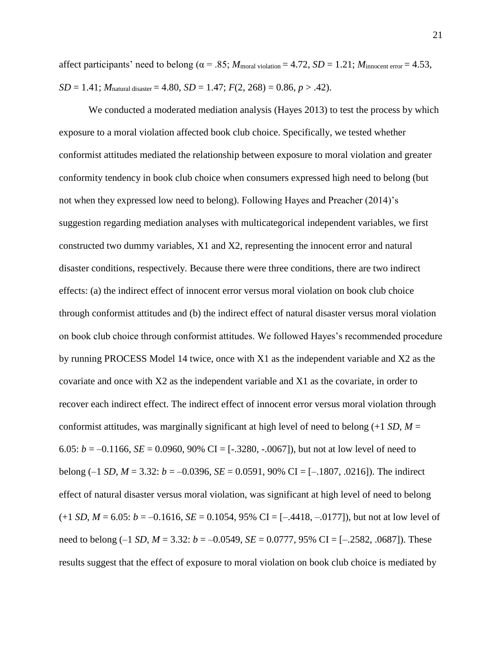affect participants' need to belong ( $\alpha$  = .85; *M*<sub>moral violation</sub> = 4.72, *SD* = 1.21; *M*<sub>innocent</sub> error = 4.53,  $SD = 1.41$ ;  $M_{\text{natural disaster}} = 4.80$ ,  $SD = 1.47$ ;  $F(2, 268) = 0.86$ ,  $p > .42$ ).

We conducted a moderated mediation analysis (Hayes 2013) to test the process by which exposure to a moral violation affected book club choice. Specifically, we tested whether conformist attitudes mediated the relationship between exposure to moral violation and greater conformity tendency in book club choice when consumers expressed high need to belong (but not when they expressed low need to belong). Following Hayes and Preacher (2014)'s suggestion regarding mediation analyses with multicategorical independent variables, we first constructed two dummy variables, X1 and X2, representing the innocent error and natural disaster conditions, respectively. Because there were three conditions, there are two indirect effects: (a) the indirect effect of innocent error versus moral violation on book club choice through conformist attitudes and (b) the indirect effect of natural disaster versus moral violation on book club choice through conformist attitudes. We followed Hayes's recommended procedure by running PROCESS Model 14 twice, once with X1 as the independent variable and X2 as the covariate and once with X2 as the independent variable and X1 as the covariate, in order to recover each indirect effect. The indirect effect of innocent error versus moral violation through conformist attitudes, was marginally significant at high level of need to belong  $(+1 SD, M =$ 6.05:  $b = -0.1166$ ,  $SE = 0.0960$ ,  $90\%$  CI = [-.3280, -.0067]), but not at low level of need to belong (–1 *SD*, *M* = 3.32: *b* = –0.0396, *SE* = 0.0591, 90% CI = [–.1807, .0216]). The indirect effect of natural disaster versus moral violation, was significant at high level of need to belong  $(+1 SD, M = 6.05: b = -0.1616, SE = 0.1054, 95\% CI = [-0.4418, -0.0177]$ , but not at low level of need to belong  $(-1 SD, M = 3.32$ :  $b = -0.0549, SE = 0.0777, 95\%$  CI = [-.2582, .0687]). These results suggest that the effect of exposure to moral violation on book club choice is mediated by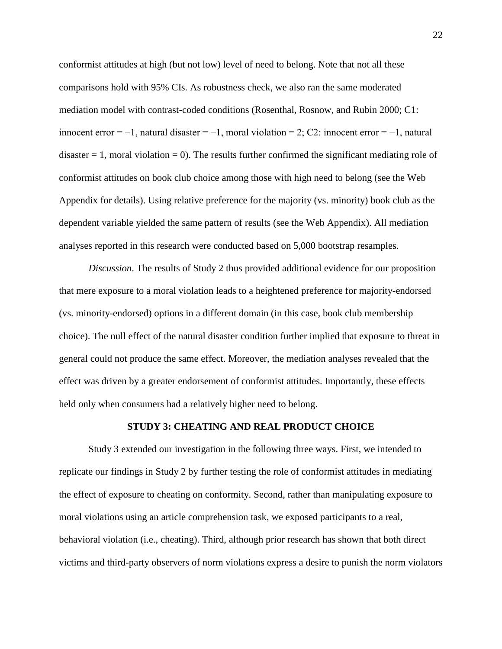conformist attitudes at high (but not low) level of need to belong. Note that not all these comparisons hold with 95% CIs. As robustness check, we also ran the same moderated mediation model with contrast-coded conditions (Rosenthal, Rosnow, and Rubin 2000; C1: innocent error =  $-1$ , natural disaster =  $-1$ , moral violation = 2; C2: innocent error =  $-1$ , natural disaster  $= 1$ , moral violation  $= 0$ ). The results further confirmed the significant mediating role of conformist attitudes on book club choice among those with high need to belong (see the Web Appendix for details). Using relative preference for the majority (vs. minority) book club as the dependent variable yielded the same pattern of results (see the Web Appendix). All mediation analyses reported in this research were conducted based on 5,000 bootstrap resamples.

*Discussion*. The results of Study 2 thus provided additional evidence for our proposition that mere exposure to a moral violation leads to a heightened preference for majority-endorsed (vs. minority-endorsed) options in a different domain (in this case, book club membership choice). The null effect of the natural disaster condition further implied that exposure to threat in general could not produce the same effect. Moreover, the mediation analyses revealed that the effect was driven by a greater endorsement of conformist attitudes. Importantly, these effects held only when consumers had a relatively higher need to belong.

#### **STUDY 3: CHEATING AND REAL PRODUCT CHOICE**

Study 3 extended our investigation in the following three ways. First, we intended to replicate our findings in Study 2 by further testing the role of conformist attitudes in mediating the effect of exposure to cheating on conformity. Second, rather than manipulating exposure to moral violations using an article comprehension task, we exposed participants to a real, behavioral violation (i.e., cheating). Third, although prior research has shown that both direct victims and third-party observers of norm violations express a desire to punish the norm violators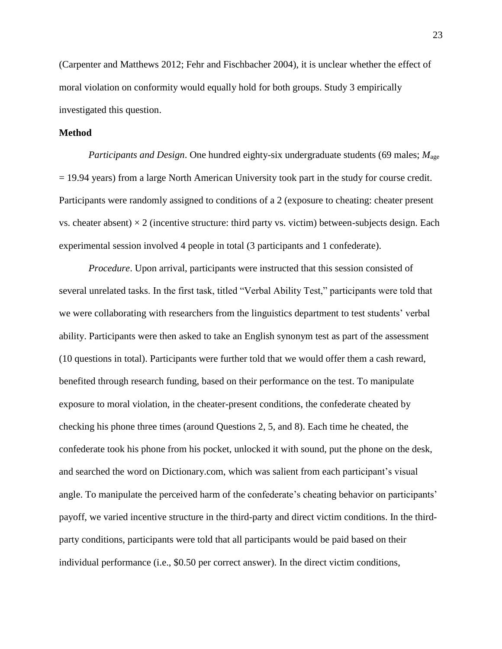(Carpenter and Matthews 2012; Fehr and Fischbacher 2004), it is unclear whether the effect of moral violation on conformity would equally hold for both groups. Study 3 empirically investigated this question.

## **Method**

*Participants and Design*. One hundred eighty-six undergraduate students (69 males;  $M_{\text{age}}$ ) = 19.94 years) from a large North American University took part in the study for course credit. Participants were randomly assigned to conditions of a 2 (exposure to cheating: cheater present vs. cheater absent)  $\times$  2 (incentive structure: third party vs. victim) between-subjects design. Each experimental session involved 4 people in total (3 participants and 1 confederate).

*Procedure*. Upon arrival, participants were instructed that this session consisted of several unrelated tasks. In the first task, titled "Verbal Ability Test," participants were told that we were collaborating with researchers from the linguistics department to test students' verbal ability. Participants were then asked to take an English synonym test as part of the assessment (10 questions in total). Participants were further told that we would offer them a cash reward, benefited through research funding, based on their performance on the test. To manipulate exposure to moral violation, in the cheater-present conditions, the confederate cheated by checking his phone three times (around Questions 2, 5, and 8). Each time he cheated, the confederate took his phone from his pocket, unlocked it with sound, put the phone on the desk, and searched the word on Dictionary.com, which was salient from each participant's visual angle. To manipulate the perceived harm of the confederate's cheating behavior on participants' payoff, we varied incentive structure in the third-party and direct victim conditions. In the thirdparty conditions, participants were told that all participants would be paid based on their individual performance (i.e., \$0.50 per correct answer). In the direct victim conditions,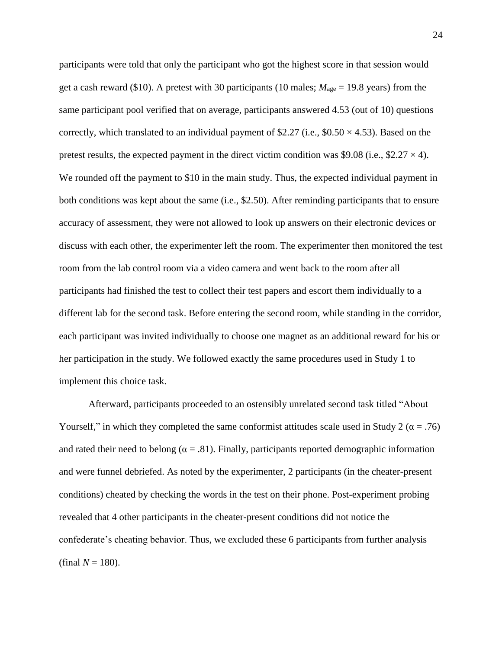participants were told that only the participant who got the highest score in that session would get a cash reward (\$10). A pretest with 30 participants (10 males;  $M_{\text{age}} = 19.8$  years) from the same participant pool verified that on average, participants answered 4.53 (out of 10) questions correctly, which translated to an individual payment of \$2.27 (i.e.,  $$0.50 \times 4.53$ ). Based on the pretest results, the expected payment in the direct victim condition was \$9.08 (i.e., \$2.27  $\times$  4). We rounded off the payment to \$10 in the main study. Thus, the expected individual payment in both conditions was kept about the same (i.e., \$2.50). After reminding participants that to ensure accuracy of assessment, they were not allowed to look up answers on their electronic devices or discuss with each other, the experimenter left the room. The experimenter then monitored the test room from the lab control room via a video camera and went back to the room after all participants had finished the test to collect their test papers and escort them individually to a different lab for the second task. Before entering the second room, while standing in the corridor, each participant was invited individually to choose one magnet as an additional reward for his or her participation in the study. We followed exactly the same procedures used in Study 1 to implement this choice task.

Afterward, participants proceeded to an ostensibly unrelated second task titled "About Yourself," in which they completed the same conformist attitudes scale used in Study 2 ( $\alpha$  = .76) and rated their need to belong ( $\alpha = .81$ ). Finally, participants reported demographic information and were funnel debriefed. As noted by the experimenter, 2 participants (in the cheater-present conditions) cheated by checking the words in the test on their phone. Post-experiment probing revealed that 4 other participants in the cheater-present conditions did not notice the confederate's cheating behavior. Thus, we excluded these 6 participants from further analysis (final  $N = 180$ ).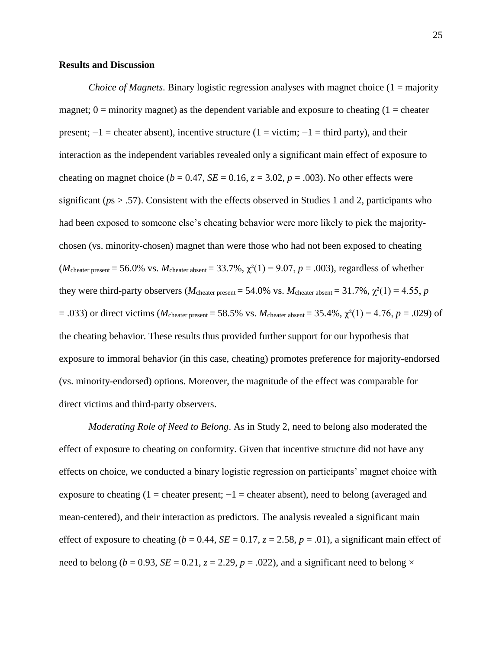#### **Results and Discussion**

*Choice of Magnets*. Binary logistic regression analyses with magnet choice (1 = majority magnet;  $0 =$  minority magnet) as the dependent variable and exposure to cheating  $(1 =$  cheater present;  $-1$  = cheater absent), incentive structure (1 = victim;  $-1$  = third party), and their interaction as the independent variables revealed only a significant main effect of exposure to cheating on magnet choice ( $b = 0.47$ ,  $SE = 0.16$ ,  $z = 3.02$ ,  $p = .003$ ). No other effects were significant ( $ps > .57$ ). Consistent with the effects observed in Studies 1 and 2, participants who had been exposed to someone else's cheating behavior were more likely to pick the majoritychosen (vs. minority-chosen) magnet than were those who had not been exposed to cheating  $(M<sub>cheater present</sub> = 56.0\%$  vs.  $M<sub>cheater absent</sub> = 33.7\%, \chi^2(1) = 9.07, p = .003$ , regardless of whether they were third-party observers ( $M_{\text{cheater present}} = 54.0\%$  vs.  $M_{\text{cheater absent}} = 31.7\%, \chi^2(1) = 4.55, p$  $= .033$ ) or direct victims (*M*<sub>cheater present</sub> = 58.5% vs. *M*<sub>cheater absent</sub> = 35.4%,  $\chi^2(1) = 4.76$ , *p* = .029) of the cheating behavior. These results thus provided further support for our hypothesis that exposure to immoral behavior (in this case, cheating) promotes preference for majority-endorsed (vs. minority-endorsed) options. Moreover, the magnitude of the effect was comparable for direct victims and third-party observers.

*Moderating Role of Need to Belong*. As in Study 2, need to belong also moderated the effect of exposure to cheating on conformity. Given that incentive structure did not have any effects on choice, we conducted a binary logistic regression on participants' magnet choice with exposure to cheating (1 = cheater present;  $-1$  = cheater absent), need to belong (averaged and mean-centered), and their interaction as predictors. The analysis revealed a significant main effect of exposure to cheating ( $b = 0.44$ ,  $SE = 0.17$ ,  $z = 2.58$ ,  $p = .01$ ), a significant main effect of need to belong ( $b = 0.93$ ,  $SE = 0.21$ ,  $z = 2.29$ ,  $p = .022$ ), and a significant need to belong  $\times$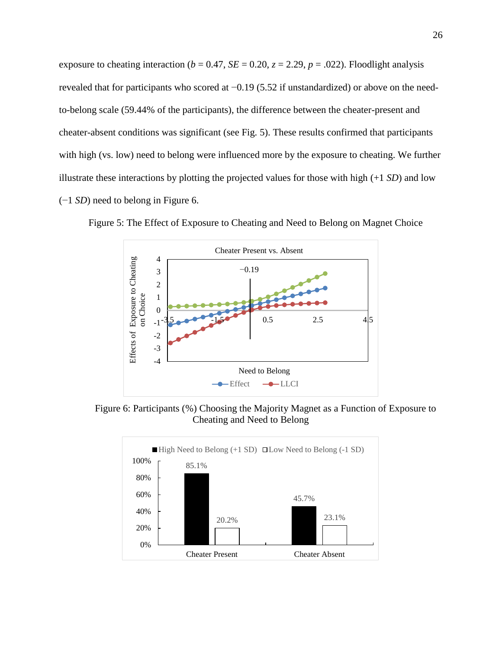exposure to cheating interaction ( $b = 0.47$ ,  $SE = 0.20$ ,  $z = 2.29$ ,  $p = .022$ ). Floodlight analysis revealed that for participants who scored at −0.19 (5.52 if unstandardized) or above on the needto-belong scale (59.44% of the participants), the difference between the cheater-present and cheater-absent conditions was significant (see Fig. 5). These results confirmed that participants with high (vs. low) need to belong were influenced more by the exposure to cheating. We further illustrate these interactions by plotting the projected values for those with high (+1 *SD*) and low (−1 *SD*) need to belong in Figure 6.



Figure 5: The Effect of Exposure to Cheating and Need to Belong on Magnet Choice

Figure 6: Participants (%) Choosing the Majority Magnet as a Function of Exposure to Cheating and Need to Belong

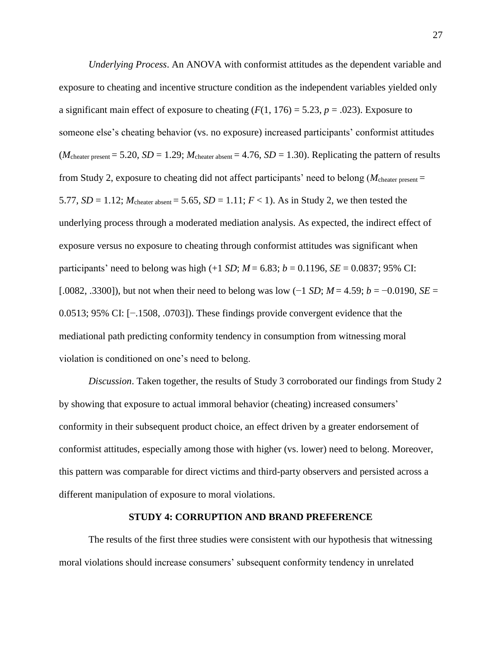*Underlying Process*. An ANOVA with conformist attitudes as the dependent variable and exposure to cheating and incentive structure condition as the independent variables yielded only a significant main effect of exposure to cheating  $(F(1, 176) = 5.23, p = .023)$ . Exposure to someone else's cheating behavior (vs. no exposure) increased participants' conformist attitudes  $(M_{\text{cheater present}} = 5.20, SD = 1.29; M_{\text{cheater absent}} = 4.76, SD = 1.30$ . Replicating the pattern of results from Study 2, exposure to cheating did not affect participants' need to belong (*M*cheater present = 5.77,  $SD = 1.12$ ;  $M_{\text{cheater absent}} = 5.65$ ,  $SD = 1.11$ ;  $F < 1$ ). As in Study 2, we then tested the underlying process through a moderated mediation analysis. As expected, the indirect effect of exposure versus no exposure to cheating through conformist attitudes was significant when participants' need to belong was high  $(+1 SD; M = 6.83; b = 0.1196, SE = 0.0837; 95\% CI$ : [.0082, .3300]), but not when their need to belong was low (−1 *SD*; *M* = 4.59; *b* = −0.0190, *SE* = 0.0513; 95% CI: [−.1508, .0703]). These findings provide convergent evidence that the mediational path predicting conformity tendency in consumption from witnessing moral violation is conditioned on one's need to belong.

*Discussion*. Taken together, the results of Study 3 corroborated our findings from Study 2 by showing that exposure to actual immoral behavior (cheating) increased consumers' conformity in their subsequent product choice, an effect driven by a greater endorsement of conformist attitudes, especially among those with higher (vs. lower) need to belong. Moreover, this pattern was comparable for direct victims and third-party observers and persisted across a different manipulation of exposure to moral violations.

#### **STUDY 4: CORRUPTION AND BRAND PREFERENCE**

The results of the first three studies were consistent with our hypothesis that witnessing moral violations should increase consumers' subsequent conformity tendency in unrelated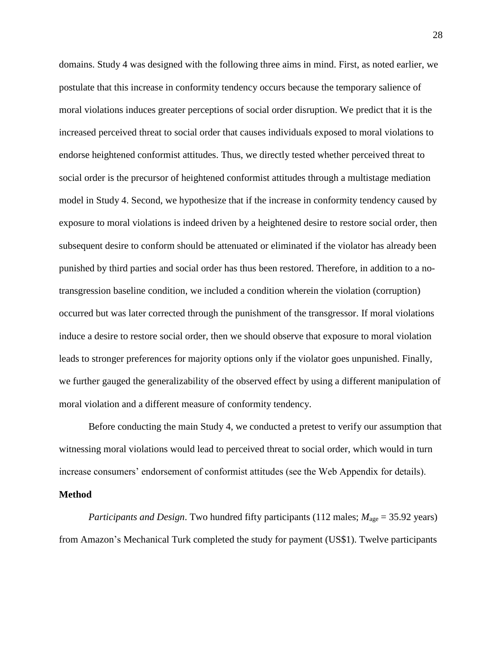domains. Study 4 was designed with the following three aims in mind. First, as noted earlier, we postulate that this increase in conformity tendency occurs because the temporary salience of moral violations induces greater perceptions of social order disruption. We predict that it is the increased perceived threat to social order that causes individuals exposed to moral violations to endorse heightened conformist attitudes. Thus, we directly tested whether perceived threat to social order is the precursor of heightened conformist attitudes through a multistage mediation model in Study 4. Second, we hypothesize that if the increase in conformity tendency caused by exposure to moral violations is indeed driven by a heightened desire to restore social order, then subsequent desire to conform should be attenuated or eliminated if the violator has already been punished by third parties and social order has thus been restored. Therefore, in addition to a notransgression baseline condition, we included a condition wherein the violation (corruption) occurred but was later corrected through the punishment of the transgressor. If moral violations induce a desire to restore social order, then we should observe that exposure to moral violation leads to stronger preferences for majority options only if the violator goes unpunished. Finally, we further gauged the generalizability of the observed effect by using a different manipulation of moral violation and a different measure of conformity tendency.

Before conducting the main Study 4, we conducted a pretest to verify our assumption that witnessing moral violations would lead to perceived threat to social order, which would in turn increase consumers' endorsement of conformist attitudes (see the Web Appendix for details).

#### **Method**

*Participants and Design*. Two hundred fifty participants (112 males;  $M_{\text{age}} = 35.92$  years) from Amazon's Mechanical Turk completed the study for payment (US\$1). Twelve participants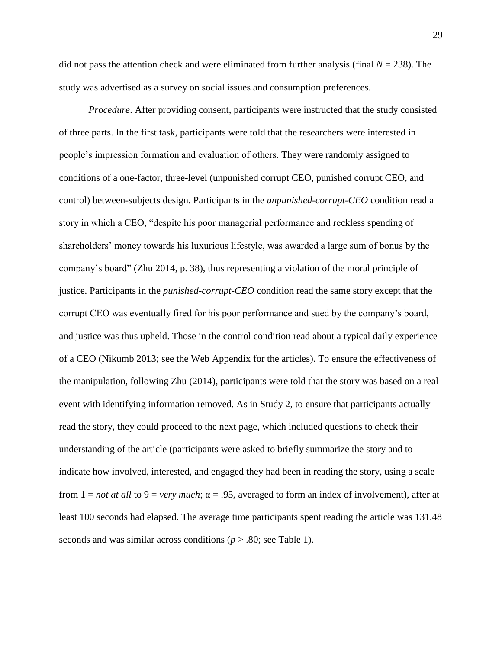did not pass the attention check and were eliminated from further analysis (final *N* = 238). The study was advertised as a survey on social issues and consumption preferences.

*Procedure*. After providing consent, participants were instructed that the study consisted of three parts. In the first task, participants were told that the researchers were interested in people's impression formation and evaluation of others. They were randomly assigned to conditions of a one-factor, three-level (unpunished corrupt CEO, punished corrupt CEO, and control) between-subjects design. Participants in the *unpunished-corrupt-CEO* condition read a story in which a CEO, "despite his poor managerial performance and reckless spending of shareholders' money towards his luxurious lifestyle, was awarded a large sum of bonus by the company's board" (Zhu 2014, p. 38), thus representing a violation of the moral principle of justice. Participants in the *punished-corrupt-CEO* condition read the same story except that the corrupt CEO was eventually fired for his poor performance and sued by the company's board, and justice was thus upheld. Those in the control condition read about a typical daily experience of a CEO (Nikumb 2013; see the Web Appendix for the articles). To ensure the effectiveness of the manipulation, following Zhu (2014), participants were told that the story was based on a real event with identifying information removed. As in Study 2, to ensure that participants actually read the story, they could proceed to the next page, which included questions to check their understanding of the article (participants were asked to briefly summarize the story and to indicate how involved, interested, and engaged they had been in reading the story, using a scale from  $1 = not$  *at all* to  $9 = very$  *much*;  $\alpha = .95$ , averaged to form an index of involvement), after at least 100 seconds had elapsed. The average time participants spent reading the article was 131.48 seconds and was similar across conditions ( $p > .80$ ; see Table 1).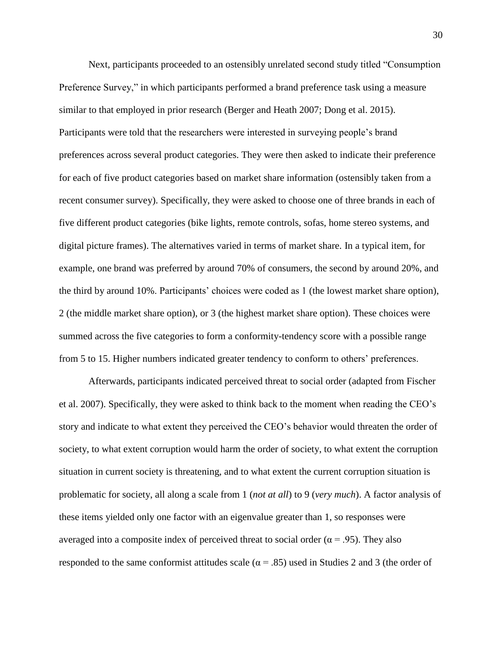Next, participants proceeded to an ostensibly unrelated second study titled "Consumption Preference Survey," in which participants performed a brand preference task using a measure similar to that employed in prior research (Berger and Heath 2007; Dong et al. 2015). Participants were told that the researchers were interested in surveying people's brand preferences across several product categories. They were then asked to indicate their preference for each of five product categories based on market share information (ostensibly taken from a recent consumer survey). Specifically, they were asked to choose one of three brands in each of five different product categories (bike lights, remote controls, sofas, home stereo systems, and digital picture frames). The alternatives varied in terms of market share. In a typical item, for example, one brand was preferred by around 70% of consumers, the second by around 20%, and the third by around 10%. Participants' choices were coded as 1 (the lowest market share option), 2 (the middle market share option), or 3 (the highest market share option). These choices were summed across the five categories to form a conformity-tendency score with a possible range from 5 to 15. Higher numbers indicated greater tendency to conform to others' preferences.

Afterwards, participants indicated perceived threat to social order (adapted from Fischer et al. 2007). Specifically, they were asked to think back to the moment when reading the CEO's story and indicate to what extent they perceived the CEO's behavior would threaten the order of society, to what extent corruption would harm the order of society, to what extent the corruption situation in current society is threatening, and to what extent the current corruption situation is problematic for society, all along a scale from 1 (*not at all*) to 9 (*very much*). A factor analysis of these items yielded only one factor with an eigenvalue greater than 1, so responses were averaged into a composite index of perceived threat to social order ( $\alpha$  = .95). They also responded to the same conformist attitudes scale ( $\alpha$  = .85) used in Studies 2 and 3 (the order of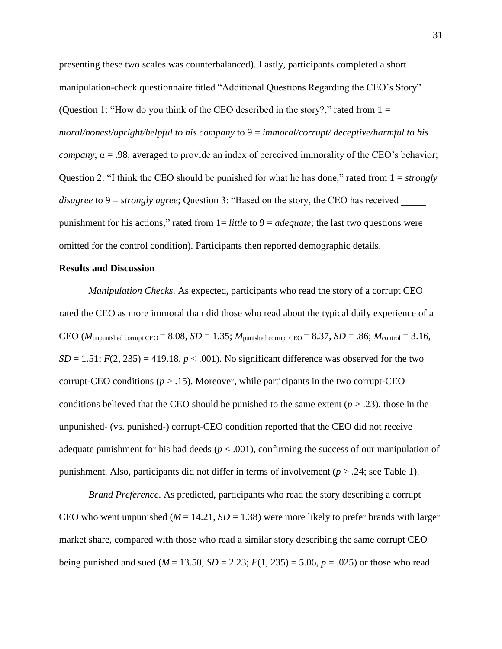presenting these two scales was counterbalanced). Lastly, participants completed a short manipulation-check questionnaire titled "Additional Questions Regarding the CEO's Story" (Question 1: "How do you think of the CEO described in the story?," rated from  $1 =$ *moral/honest/upright/helpful to his company* to 9 = *immoral/corrupt/ deceptive/harmful to his company*;  $\alpha = .98$ , averaged to provide an index of perceived immorality of the CEO's behavior; Question 2: "I think the CEO should be punished for what he has done," rated from 1 = *strongly disagree* to 9 = *strongly agree*; Question 3: "Based on the story, the CEO has received punishment for his actions," rated from 1= *little* to 9 = *adequate*; the last two questions were omitted for the control condition). Participants then reported demographic details.

#### **Results and Discussion**

*Manipulation Checks*. As expected, participants who read the story of a corrupt CEO rated the CEO as more immoral than did those who read about the typical daily experience of a CEO ( $M_{\text{unpunished corrupt CEO}} = 8.08$ ,  $SD = 1.35$ ;  $M_{\text{punished corrupt CEO}} = 8.37$ ,  $SD = .86$ ;  $M_{\text{control}} = 3.16$ ,  $SD = 1.51$ ;  $F(2, 235) = 419.18$ ,  $p < .001$ ). No significant difference was observed for the two corrupt-CEO conditions ( $p > 0.15$ ). Moreover, while participants in the two corrupt-CEO conditions believed that the CEO should be punished to the same extent  $(p > .23)$ , those in the unpunished- (vs. punished-) corrupt-CEO condition reported that the CEO did not receive adequate punishment for his bad deeds ( $p < .001$ ), confirming the success of our manipulation of punishment. Also, participants did not differ in terms of involvement (*p* > .24; see Table 1).

*Brand Preference*. As predicted, participants who read the story describing a corrupt CEO who went unpunished ( $M = 14.21$ ,  $SD = 1.38$ ) were more likely to prefer brands with larger market share, compared with those who read a similar story describing the same corrupt CEO being punished and sued ( $M = 13.50$ ,  $SD = 2.23$ ;  $F(1, 235) = 5.06$ ,  $p = .025$ ) or those who read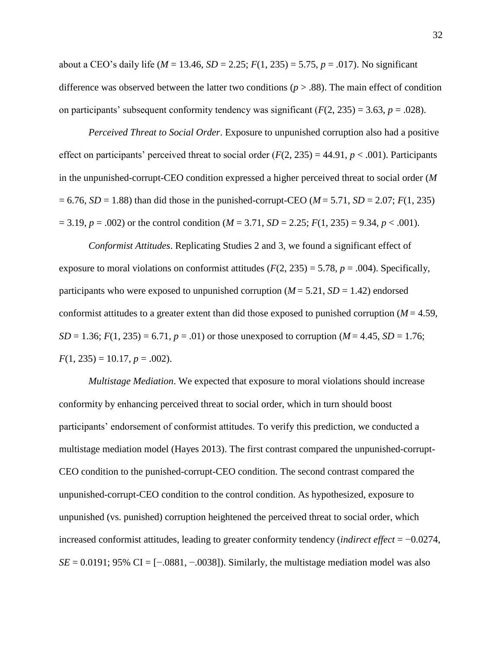about a CEO's daily life (*M* = 13.46, *SD* = 2.25; *F*(1, 235) = 5.75, *p* = .017). No significant difference was observed between the latter two conditions (*p* > .88). The main effect of condition on participants' subsequent conformity tendency was significant  $(F(2, 235) = 3.63, p = .028)$ .

*Perceived Threat to Social Order*. Exposure to unpunished corruption also had a positive effect on participants' perceived threat to social order  $(F(2, 235) = 44.91, p < .001)$ . Participants in the unpunished-corrupt-CEO condition expressed a higher perceived threat to social order (*M*  $= 6.76$ , *SD* = 1.88) than did those in the punished-corrupt-CEO (*M* = 5.71, *SD* = 2.07; *F*(1, 235)  $= 3.19, p = .002$  or the control condition ( $M = 3.71, SD = 2.25$ ;  $F(1, 235) = 9.34, p < .001$ ).

*Conformist Attitudes*. Replicating Studies 2 and 3, we found a significant effect of exposure to moral violations on conformist attitudes  $(F(2, 235) = 5.78, p = .004)$ . Specifically, participants who were exposed to unpunished corruption  $(M = 5.21, SD = 1.42)$  endorsed conformist attitudes to a greater extent than did those exposed to punished corruption  $(M = 4.59)$ , *SD* = 1.36;  $F(1, 235) = 6.71$ ,  $p = .01$ ) or those unexposed to corruption (*M* = 4.45, *SD* = 1.76;  $F(1, 235) = 10.17, p = .002$ .

*Multistage Mediation*. We expected that exposure to moral violations should increase conformity by enhancing perceived threat to social order, which in turn should boost participants' endorsement of conformist attitudes. To verify this prediction, we conducted a multistage mediation model (Hayes 2013). The first contrast compared the unpunished-corrupt-CEO condition to the punished-corrupt-CEO condition. The second contrast compared the unpunished-corrupt-CEO condition to the control condition. As hypothesized, exposure to unpunished (vs. punished) corruption heightened the perceived threat to social order, which increased conformist attitudes, leading to greater conformity tendency (*indirect effect* = −0.0274,  $SE = 0.0191$ ; 95% CI = [ $-.0881, -.0038$ ]). Similarly, the multistage mediation model was also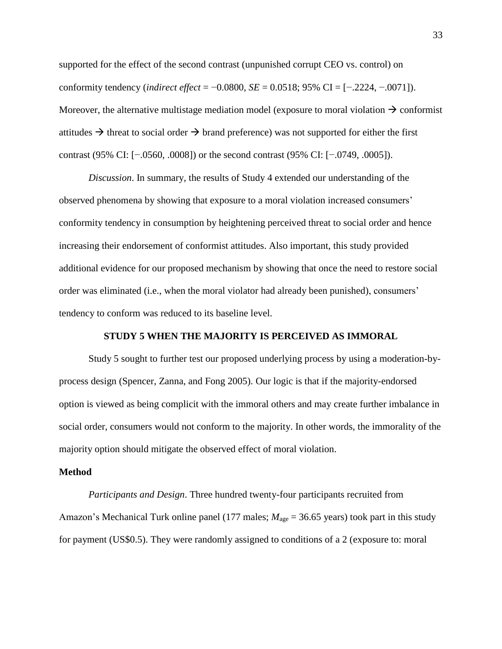supported for the effect of the second contrast (unpunished corrupt CEO vs. control) on conformity tendency (*indirect effect* =  $-0.0800$ , *SE* = 0.0518; 95% CI = [ $-.2224, -.0071$ ]). Moreover, the alternative multistage mediation model (exposure to moral violation  $\rightarrow$  conformist attitudes  $\rightarrow$  threat to social order  $\rightarrow$  brand preference) was not supported for either the first contrast (95% CI: [−.0560, .0008]) or the second contrast (95% CI: [−.0749, .0005]).

*Discussion*. In summary, the results of Study 4 extended our understanding of the observed phenomena by showing that exposure to a moral violation increased consumers' conformity tendency in consumption by heightening perceived threat to social order and hence increasing their endorsement of conformist attitudes. Also important, this study provided additional evidence for our proposed mechanism by showing that once the need to restore social order was eliminated (i.e., when the moral violator had already been punished), consumers' tendency to conform was reduced to its baseline level.

### **STUDY 5 WHEN THE MAJORITY IS PERCEIVED AS IMMORAL**

Study 5 sought to further test our proposed underlying process by using a moderation-byprocess design (Spencer, Zanna, and Fong 2005). Our logic is that if the majority-endorsed option is viewed as being complicit with the immoral others and may create further imbalance in social order, consumers would not conform to the majority. In other words, the immorality of the majority option should mitigate the observed effect of moral violation.

### **Method**

*Participants and Design*. Three hundred twenty-four participants recruited from Amazon's Mechanical Turk online panel (177 males;  $M_{\text{age}} = 36.65$  years) took part in this study for payment (US\$0.5). They were randomly assigned to conditions of a 2 (exposure to: moral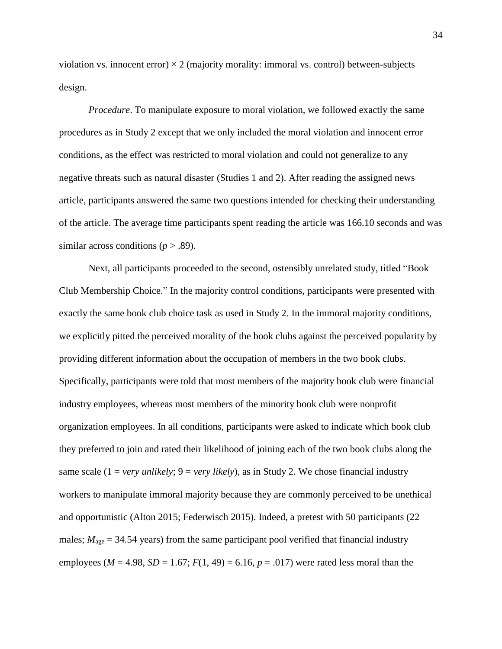violation vs. innocent error)  $\times$  2 (majority morality: immoral vs. control) between-subjects design.

*Procedure*. To manipulate exposure to moral violation, we followed exactly the same procedures as in Study 2 except that we only included the moral violation and innocent error conditions, as the effect was restricted to moral violation and could not generalize to any negative threats such as natural disaster (Studies 1 and 2). After reading the assigned news article, participants answered the same two questions intended for checking their understanding of the article. The average time participants spent reading the article was 166.10 seconds and was similar across conditions ( $p > .89$ ).

Next, all participants proceeded to the second, ostensibly unrelated study, titled "Book Club Membership Choice." In the majority control conditions, participants were presented with exactly the same book club choice task as used in Study 2. In the immoral majority conditions, we explicitly pitted the perceived morality of the book clubs against the perceived popularity by providing different information about the occupation of members in the two book clubs. Specifically, participants were told that most members of the majority book club were financial industry employees, whereas most members of the minority book club were nonprofit organization employees. In all conditions, participants were asked to indicate which book club they preferred to join and rated their likelihood of joining each of the two book clubs along the same scale  $(1 = \text{very} \text{ unlikely}; 9 = \text{very} \text{ likely})$ , as in Study 2. We chose financial industry workers to manipulate immoral majority because they are commonly perceived to be unethical and opportunistic (Alton 2015; Federwisch 2015). Indeed, a pretest with 50 participants (22 males;  $M_{\text{age}} = 34.54$  years) from the same participant pool verified that financial industry employees ( $M = 4.98$ ,  $SD = 1.67$ ;  $F(1, 49) = 6.16$ ,  $p = .017$ ) were rated less moral than the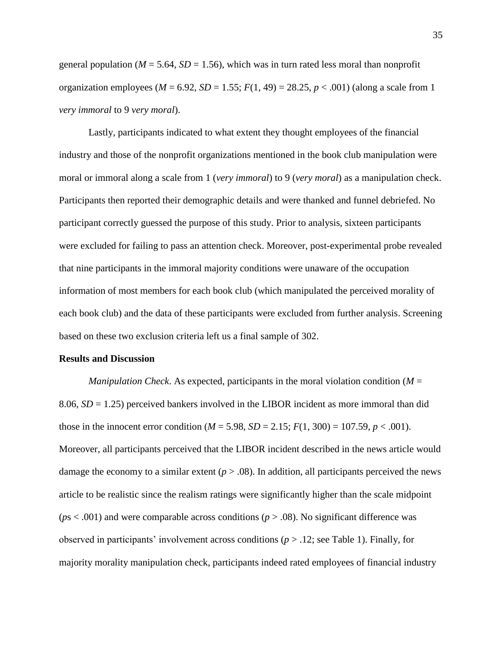general population ( $M = 5.64$ ,  $SD = 1.56$ ), which was in turn rated less moral than nonprofit organization employees ( $M = 6.92$ ,  $SD = 1.55$ ;  $F(1, 49) = 28.25$ ,  $p < .001$ ) (along a scale from 1 *very immoral* to 9 *very moral*).

Lastly, participants indicated to what extent they thought employees of the financial industry and those of the nonprofit organizations mentioned in the book club manipulation were moral or immoral along a scale from 1 (*very immoral*) to 9 (*very moral*) as a manipulation check. Participants then reported their demographic details and were thanked and funnel debriefed. No participant correctly guessed the purpose of this study. Prior to analysis, sixteen participants were excluded for failing to pass an attention check. Moreover, post-experimental probe revealed that nine participants in the immoral majority conditions were unaware of the occupation information of most members for each book club (which manipulated the perceived morality of each book club) and the data of these participants were excluded from further analysis. Screening based on these two exclusion criteria left us a final sample of 302.

#### **Results and Discussion**

*Manipulation Check*. As expected, participants in the moral violation condition (*M* = 8.06, *SD* = 1.25) perceived bankers involved in the LIBOR incident as more immoral than did those in the innocent error condition ( $M = 5.98$ ,  $SD = 2.15$ ;  $F(1, 300) = 107.59$ ,  $p < .001$ ). Moreover, all participants perceived that the LIBOR incident described in the news article would damage the economy to a similar extent  $(p > .08)$ . In addition, all participants perceived the news article to be realistic since the realism ratings were significantly higher than the scale midpoint  $(p< .001)$  and were comparable across conditions  $(p > .08)$ . No significant difference was observed in participants' involvement across conditions ( $p > 0.12$ ; see Table 1). Finally, for majority morality manipulation check, participants indeed rated employees of financial industry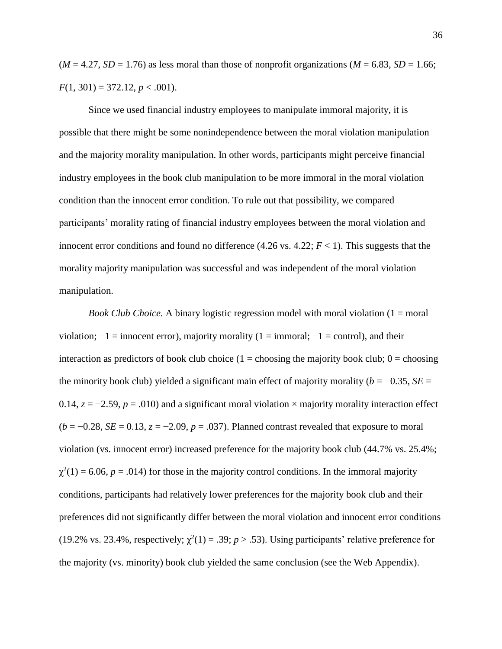$(M = 4.27, SD = 1.76)$  as less moral than those of nonprofit organizations  $(M = 6.83, SD = 1.66;$  $F(1, 301) = 372.12, p < .001$ .

Since we used financial industry employees to manipulate immoral majority, it is possible that there might be some nonindependence between the moral violation manipulation and the majority morality manipulation. In other words, participants might perceive financial industry employees in the book club manipulation to be more immoral in the moral violation condition than the innocent error condition. To rule out that possibility, we compared participants' morality rating of financial industry employees between the moral violation and innocent error conditions and found no difference  $(4.26 \text{ vs. } 4.22; F < 1)$ . This suggests that the morality majority manipulation was successful and was independent of the moral violation manipulation.

*Book Club Choice.* A binary logistic regression model with moral violation (1 = moral violation;  $-1 =$  innocent error), majority morality (1 = immoral;  $-1 =$  control), and their interaction as predictors of book club choice ( $1 =$  choosing the majority book club;  $0 =$  choosing the minority book club) yielded a significant main effect of majority morality ( $b = -0.35$ ,  $SE =$ 0.14,  $z = -2.59$ ,  $p = .010$ ) and a significant moral violation × majority morality interaction effect  $(b = -0.28, SE = 0.13, z = -2.09, p = .037)$ . Planned contrast revealed that exposure to moral violation (vs. innocent error) increased preference for the majority book club (44.7% vs. 25.4%;  $\chi^2(1) = 6.06$ ,  $p = .014$ ) for those in the majority control conditions. In the immoral majority conditions, participants had relatively lower preferences for the majority book club and their preferences did not significantly differ between the moral violation and innocent error conditions (19.2% vs. 23.4%, respectively;  $\chi^2(1) = .39$ ;  $p > .53$ ). Using participants' relative preference for the majority (vs. minority) book club yielded the same conclusion (see the Web Appendix).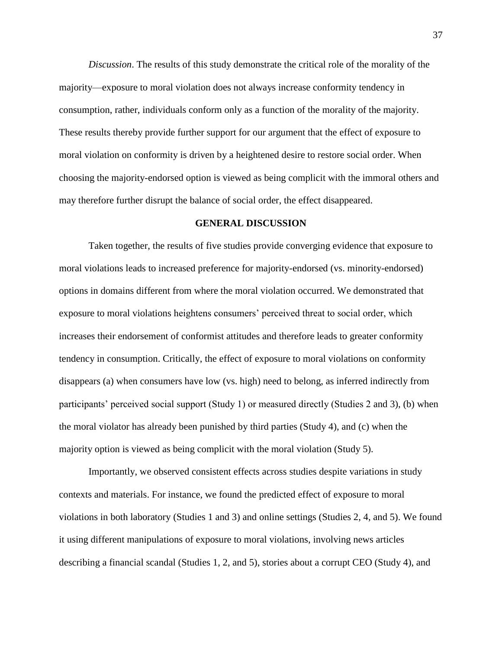*Discussion*. The results of this study demonstrate the critical role of the morality of the majority—exposure to moral violation does not always increase conformity tendency in consumption, rather, individuals conform only as a function of the morality of the majority. These results thereby provide further support for our argument that the effect of exposure to moral violation on conformity is driven by a heightened desire to restore social order. When choosing the majority-endorsed option is viewed as being complicit with the immoral others and may therefore further disrupt the balance of social order, the effect disappeared.

#### **GENERAL DISCUSSION**

Taken together, the results of five studies provide converging evidence that exposure to moral violations leads to increased preference for majority-endorsed (vs. minority-endorsed) options in domains different from where the moral violation occurred. We demonstrated that exposure to moral violations heightens consumers' perceived threat to social order, which increases their endorsement of conformist attitudes and therefore leads to greater conformity tendency in consumption. Critically, the effect of exposure to moral violations on conformity disappears (a) when consumers have low (vs. high) need to belong, as inferred indirectly from participants' perceived social support (Study 1) or measured directly (Studies 2 and 3), (b) when the moral violator has already been punished by third parties (Study 4), and (c) when the majority option is viewed as being complicit with the moral violation (Study 5).

Importantly, we observed consistent effects across studies despite variations in study contexts and materials. For instance, we found the predicted effect of exposure to moral violations in both laboratory (Studies 1 and 3) and online settings (Studies 2, 4, and 5). We found it using different manipulations of exposure to moral violations, involving news articles describing a financial scandal (Studies 1, 2, and 5), stories about a corrupt CEO (Study 4), and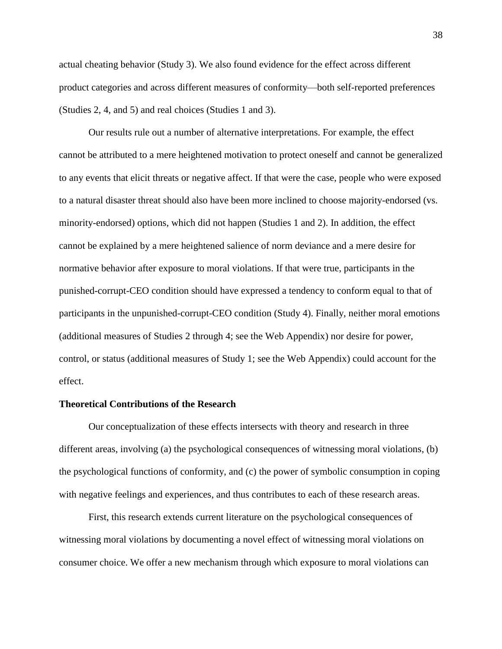actual cheating behavior (Study 3). We also found evidence for the effect across different product categories and across different measures of conformity—both self-reported preferences (Studies 2, 4, and 5) and real choices (Studies 1 and 3).

Our results rule out a number of alternative interpretations. For example, the effect cannot be attributed to a mere heightened motivation to protect oneself and cannot be generalized to any events that elicit threats or negative affect. If that were the case, people who were exposed to a natural disaster threat should also have been more inclined to choose majority-endorsed (vs. minority-endorsed) options, which did not happen (Studies 1 and 2). In addition, the effect cannot be explained by a mere heightened salience of norm deviance and a mere desire for normative behavior after exposure to moral violations. If that were true, participants in the punished-corrupt-CEO condition should have expressed a tendency to conform equal to that of participants in the unpunished-corrupt-CEO condition (Study 4). Finally, neither moral emotions (additional measures of Studies 2 through 4; see the Web Appendix) nor desire for power, control, or status (additional measures of Study 1; see the Web Appendix) could account for the effect.

#### **Theoretical Contributions of the Research**

Our conceptualization of these effects intersects with theory and research in three different areas, involving (a) the psychological consequences of witnessing moral violations, (b) the psychological functions of conformity, and (c) the power of symbolic consumption in coping with negative feelings and experiences, and thus contributes to each of these research areas.

First, this research extends current literature on the psychological consequences of witnessing moral violations by documenting a novel effect of witnessing moral violations on consumer choice. We offer a new mechanism through which exposure to moral violations can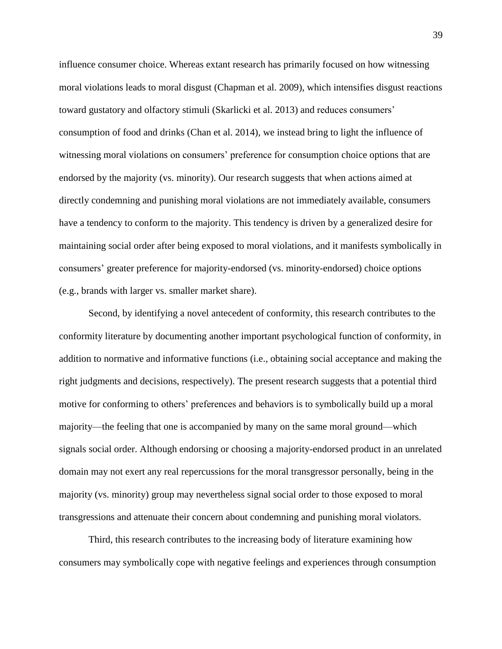influence consumer choice. Whereas extant research has primarily focused on how witnessing moral violations leads to moral disgust (Chapman et al. 2009), which intensifies disgust reactions toward gustatory and olfactory stimuli (Skarlicki et al. 2013) and reduces consumers' consumption of food and drinks (Chan et al. 2014), we instead bring to light the influence of witnessing moral violations on consumers' preference for consumption choice options that are endorsed by the majority (vs. minority). Our research suggests that when actions aimed at directly condemning and punishing moral violations are not immediately available, consumers have a tendency to conform to the majority. This tendency is driven by a generalized desire for maintaining social order after being exposed to moral violations, and it manifests symbolically in consumers' greater preference for majority-endorsed (vs. minority-endorsed) choice options (e.g., brands with larger vs. smaller market share).

Second, by identifying a novel antecedent of conformity, this research contributes to the conformity literature by documenting another important psychological function of conformity, in addition to normative and informative functions (i.e., obtaining social acceptance and making the right judgments and decisions, respectively). The present research suggests that a potential third motive for conforming to others' preferences and behaviors is to symbolically build up a moral majority—the feeling that one is accompanied by many on the same moral ground—which signals social order. Although endorsing or choosing a majority-endorsed product in an unrelated domain may not exert any real repercussions for the moral transgressor personally, being in the majority (vs. minority) group may nevertheless signal social order to those exposed to moral transgressions and attenuate their concern about condemning and punishing moral violators.

Third, this research contributes to the increasing body of literature examining how consumers may symbolically cope with negative feelings and experiences through consumption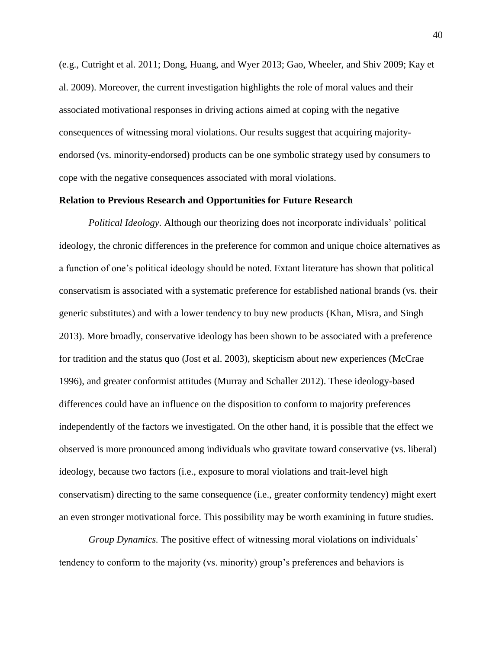(e.g., Cutright et al. 2011; Dong, Huang, and Wyer 2013; Gao, Wheeler, and Shiv 2009; Kay et al. 2009). Moreover, the current investigation highlights the role of moral values and their associated motivational responses in driving actions aimed at coping with the negative consequences of witnessing moral violations. Our results suggest that acquiring majorityendorsed (vs. minority-endorsed) products can be one symbolic strategy used by consumers to cope with the negative consequences associated with moral violations.

#### **Relation to Previous Research and Opportunities for Future Research**

*Political Ideology.* Although our theorizing does not incorporate individuals' political ideology, the chronic differences in the preference for common and unique choice alternatives as a function of one's political ideology should be noted. Extant literature has shown that political conservatism is associated with a systematic preference for established national brands (vs. their generic substitutes) and with a lower tendency to buy new products (Khan, Misra, and Singh 2013). More broadly, conservative ideology has been shown to be associated with a preference for tradition and the status quo (Jost et al. 2003), skepticism about new experiences (McCrae 1996), and greater conformist attitudes (Murray and Schaller 2012). These ideology-based differences could have an influence on the disposition to conform to majority preferences independently of the factors we investigated. On the other hand, it is possible that the effect we observed is more pronounced among individuals who gravitate toward conservative (vs. liberal) ideology, because two factors (i.e., exposure to moral violations and trait-level high conservatism) directing to the same consequence (i.e., greater conformity tendency) might exert an even stronger motivational force. This possibility may be worth examining in future studies.

*Group Dynamics.* The positive effect of witnessing moral violations on individuals' tendency to conform to the majority (vs. minority) group's preferences and behaviors is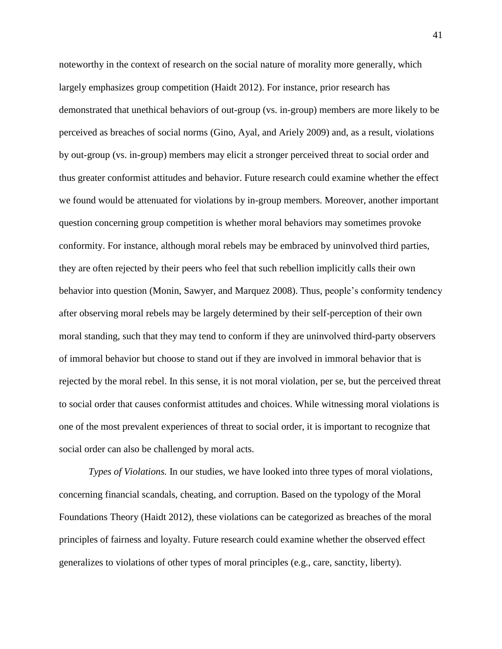noteworthy in the context of research on the social nature of morality more generally, which largely emphasizes group competition (Haidt 2012). For instance, prior research has demonstrated that unethical behaviors of out-group (vs. in-group) members are more likely to be perceived as breaches of social norms (Gino, Ayal, and Ariely 2009) and, as a result, violations by out-group (vs. in-group) members may elicit a stronger perceived threat to social order and thus greater conformist attitudes and behavior. Future research could examine whether the effect we found would be attenuated for violations by in-group members. Moreover, another important question concerning group competition is whether moral behaviors may sometimes provoke conformity. For instance, although moral rebels may be embraced by uninvolved third parties, they are often rejected by their peers who feel that such rebellion implicitly calls their own behavior into question (Monin, Sawyer, and Marquez 2008). Thus, people's conformity tendency after observing moral rebels may be largely determined by their self-perception of their own moral standing, such that they may tend to conform if they are uninvolved third-party observers of immoral behavior but choose to stand out if they are involved in immoral behavior that is rejected by the moral rebel. In this sense, it is not moral violation, per se, but the perceived threat to social order that causes conformist attitudes and choices. While witnessing moral violations is one of the most prevalent experiences of threat to social order, it is important to recognize that social order can also be challenged by moral acts.

*Types of Violations.* In our studies, we have looked into three types of moral violations, concerning financial scandals, cheating, and corruption. Based on the typology of the Moral Foundations Theory (Haidt 2012), these violations can be categorized as breaches of the moral principles of fairness and loyalty. Future research could examine whether the observed effect generalizes to violations of other types of moral principles (e.g., care, sanctity, liberty).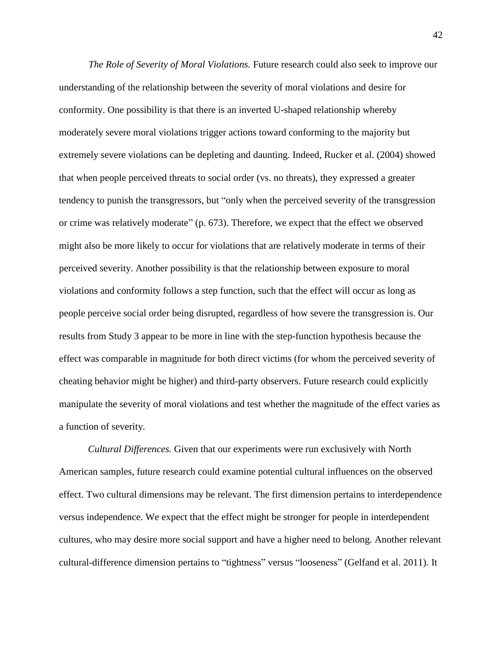*The Role of Severity of Moral Violations.* Future research could also seek to improve our understanding of the relationship between the severity of moral violations and desire for conformity. One possibility is that there is an inverted U-shaped relationship whereby moderately severe moral violations trigger actions toward conforming to the majority but extremely severe violations can be depleting and daunting. Indeed, Rucker et al. (2004) showed that when people perceived threats to social order (vs. no threats), they expressed a greater tendency to punish the transgressors, but "only when the perceived severity of the transgression or crime was relatively moderate" (p. 673). Therefore, we expect that the effect we observed might also be more likely to occur for violations that are relatively moderate in terms of their perceived severity. Another possibility is that the relationship between exposure to moral violations and conformity follows a step function, such that the effect will occur as long as people perceive social order being disrupted, regardless of how severe the transgression is. Our results from Study 3 appear to be more in line with the step-function hypothesis because the effect was comparable in magnitude for both direct victims (for whom the perceived severity of cheating behavior might be higher) and third-party observers. Future research could explicitly manipulate the severity of moral violations and test whether the magnitude of the effect varies as a function of severity.

*Cultural Differences.* Given that our experiments were run exclusively with North American samples, future research could examine potential cultural influences on the observed effect. Two cultural dimensions may be relevant. The first dimension pertains to interdependence versus independence. We expect that the effect might be stronger for people in interdependent cultures, who may desire more social support and have a higher need to belong. Another relevant cultural-difference dimension pertains to "tightness" versus "looseness" (Gelfand et al. 2011). It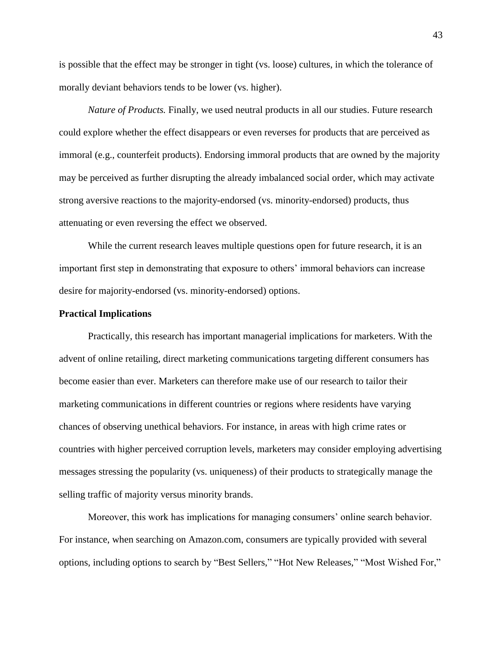is possible that the effect may be stronger in tight (vs. loose) cultures, in which the tolerance of morally deviant behaviors tends to be lower (vs. higher).

*Nature of Products.* Finally, we used neutral products in all our studies. Future research could explore whether the effect disappears or even reverses for products that are perceived as immoral (e.g., counterfeit products). Endorsing immoral products that are owned by the majority may be perceived as further disrupting the already imbalanced social order, which may activate strong aversive reactions to the majority-endorsed (vs. minority-endorsed) products, thus attenuating or even reversing the effect we observed.

While the current research leaves multiple questions open for future research, it is an important first step in demonstrating that exposure to others' immoral behaviors can increase desire for majority-endorsed (vs. minority-endorsed) options.

#### **Practical Implications**

Practically, this research has important managerial implications for marketers. With the advent of online retailing, direct marketing communications targeting different consumers has become easier than ever. Marketers can therefore make use of our research to tailor their marketing communications in different countries or regions where residents have varying chances of observing unethical behaviors. For instance, in areas with high crime rates or countries with higher perceived corruption levels, marketers may consider employing advertising messages stressing the popularity (vs. uniqueness) of their products to strategically manage the selling traffic of majority versus minority brands.

Moreover, this work has implications for managing consumers' online search behavior. For instance, when searching on Amazon.com, consumers are typically provided with several options, including options to search by "Best Sellers," "Hot New Releases," "Most Wished For,"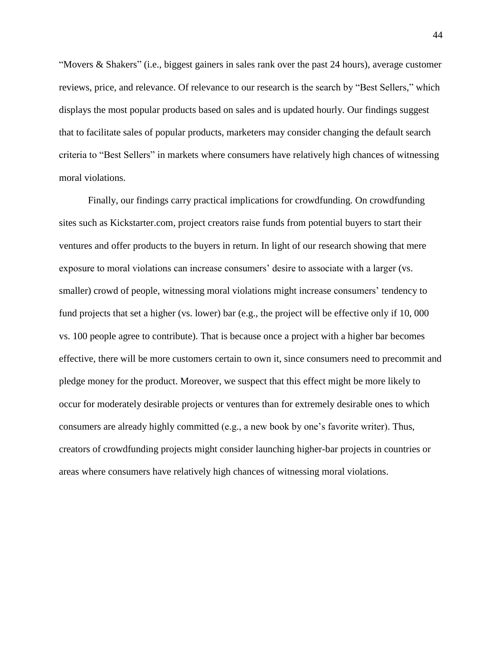"Movers & Shakers" (i.e., biggest gainers in sales rank over the past 24 hours), average customer reviews, price, and relevance. Of relevance to our research is the search by "Best Sellers," which displays the most popular products based on sales and is updated hourly. Our findings suggest that to facilitate sales of popular products, marketers may consider changing the default search criteria to "Best Sellers" in markets where consumers have relatively high chances of witnessing moral violations.

Finally, our findings carry practical implications for crowdfunding. On crowdfunding sites such as Kickstarter.com, project creators raise funds from potential buyers to start their ventures and offer products to the buyers in return. In light of our research showing that mere exposure to moral violations can increase consumers' desire to associate with a larger (vs. smaller) crowd of people, witnessing moral violations might increase consumers' tendency to fund projects that set a higher (vs. lower) bar (e.g., the project will be effective only if 10, 000 vs. 100 people agree to contribute). That is because once a project with a higher bar becomes effective, there will be more customers certain to own it, since consumers need to precommit and pledge money for the product. Moreover, we suspect that this effect might be more likely to occur for moderately desirable projects or ventures than for extremely desirable ones to which consumers are already highly committed (e.g., a new book by one's favorite writer). Thus, creators of crowdfunding projects might consider launching higher-bar projects in countries or areas where consumers have relatively high chances of witnessing moral violations.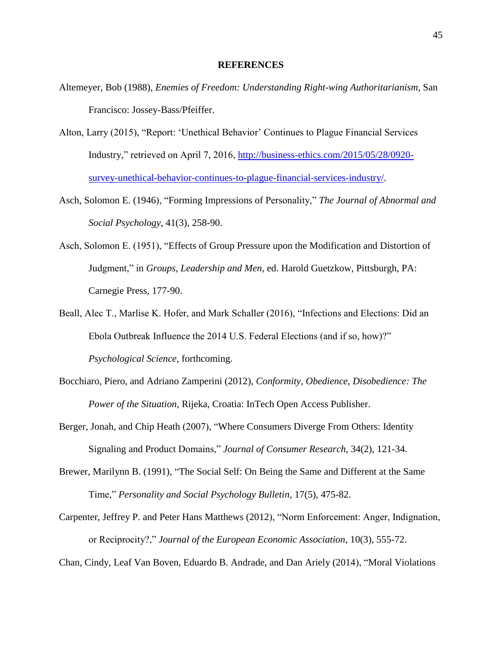#### **REFERENCES**

- Altemeyer, Bob (1988), *Enemies of Freedom: Understanding Right-wing Authoritarianism*, San Francisco: Jossey-Bass/Pfeiffer.
- Alton, Larry (2015), "Report: 'Unethical Behavior' Continues to Plague Financial Services Industry," retrieved on April 7, 2016, [http://business-ethics.com/2015/05/28/0920](http://business-ethics.com/2015/05/28/0920-survey-unethical-behavior-continues-to-plague-financial-services-industry/) [survey-unethical-behavior-continues-to-plague-financial-services-industry/.](http://business-ethics.com/2015/05/28/0920-survey-unethical-behavior-continues-to-plague-financial-services-industry/)
- Asch, Solomon E. (1946), "Forming Impressions of Personality," *The Journal of Abnormal and Social Psychology*, 41(3), 258-90.
- Asch, Solomon E. (1951), "Effects of Group Pressure upon the Modification and Distortion of Judgment," in *Groups, Leadership and Men*, ed. Harold Guetzkow, Pittsburgh, PA: Carnegie Press, 177-90.
- Beall, Alec T., Marlise K. Hofer, and Mark Schaller (2016), "Infections and Elections: Did an Ebola Outbreak Influence the 2014 U.S. Federal Elections (and if so, how)?" *Psychological Science*, forthcoming.
- Bocchiaro, Piero, and Adriano Zamperini (2012), *Conformity, Obedience, Disobedience: The Power of the Situation*, Rijeka, Croatia: InTech Open Access Publisher.
- Berger, Jonah, and Chip Heath (2007), "Where Consumers Diverge From Others: Identity Signaling and Product Domains," *Journal of Consumer Research*, 34(2), 121-34.
- Brewer, Marilynn B. (1991), "The Social Self: On Being the Same and Different at the Same Time," *Personality and Social Psychology Bulletin*, 17(5), 475-82.
- Carpenter, Jeffrey P. and Peter Hans Matthews (2012), "Norm Enforcement: Anger, Indignation, or Reciprocity?," *Journal of the European Economic Association*, 10(3), 555-72.

Chan, Cindy, Leaf Van Boven, Eduardo B. Andrade, and Dan Ariely (2014), "Moral Violations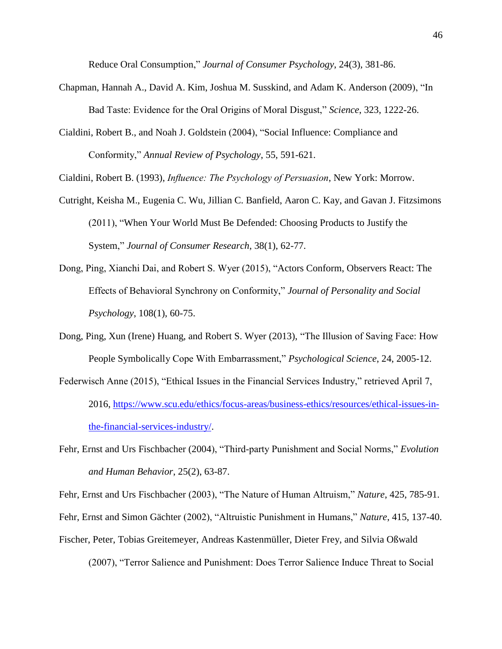Reduce Oral Consumption," *Journal of Consumer Psychology*, 24(3), 381-86.

- Chapman, Hannah A., David A. Kim, Joshua M. Susskind, and Adam K. Anderson (2009), "In Bad Taste: Evidence for the Oral Origins of Moral Disgust," *Science*, 323, 1222-26.
- Cialdini, Robert B., and Noah J. Goldstein (2004), "Social Influence: Compliance and Conformity," *Annual Review of Psychology*, 55, 591-621.

Cialdini, Robert B. (1993), *Influence: The Psychology of Persuasion*, New York: Morrow.

- Cutright, Keisha M., Eugenia C. Wu, Jillian C. Banfield, Aaron C. Kay, and Gavan J. Fitzsimons (2011), "When Your World Must Be Defended: Choosing Products to Justify the System," *Journal of Consumer Research*, 38(1), 62-77.
- Dong, Ping, Xianchi Dai, and Robert S. Wyer (2015), "Actors Conform, Observers React: The Effects of Behavioral Synchrony on Conformity," *Journal of Personality and Social Psychology*, 108(1), 60-75.
- Dong, Ping, Xun (Irene) Huang, and Robert S. Wyer (2013), "The Illusion of Saving Face: How People Symbolically Cope With Embarrassment," *Psychological Science*, 24, 2005-12.
- Federwisch Anne (2015), "Ethical Issues in the Financial Services Industry," retrieved April 7, 2016, [https://www.scu.edu/ethics/focus-areas/business-ethics/resources/ethical-issues-in](https://www.scu.edu/ethics/focus-areas/business-ethics/resources/ethical-issues-in-the-financial-services-industry/)[the-financial-services-industry/.](https://www.scu.edu/ethics/focus-areas/business-ethics/resources/ethical-issues-in-the-financial-services-industry/)
- Fehr, Ernst and Urs Fischbacher (2004), "Third-party Punishment and Social Norms," *Evolution and Human Behavior*, 25(2), 63-87.

Fehr, Ernst and Urs Fischbacher (2003), "The Nature of Human Altruism," *Nature*, 425, 785-91.

Fehr, Ernst and Simon Gächter (2002), "Altruistic Punishment in Humans," *Nature*, 415, 137-40.

Fischer, Peter, Tobias Greitemeyer, Andreas Kastenmüller, Dieter Frey, and Silvia Oßwald

(2007), "Terror Salience and Punishment: Does Terror Salience Induce Threat to Social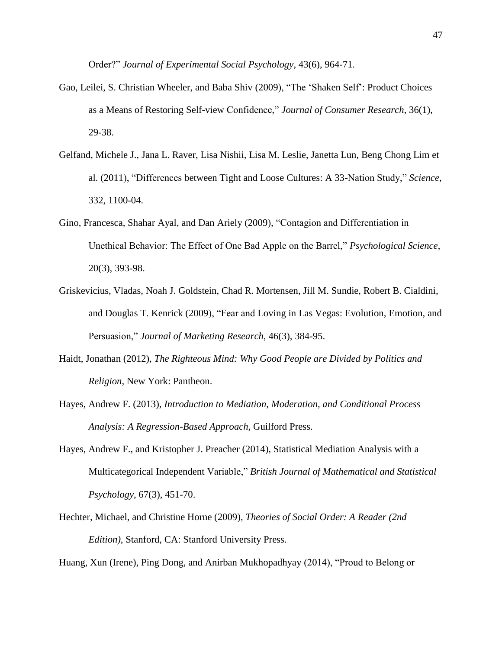Order?" *Journal of Experimental Social Psychology*, 43(6), 964-71.

- Gao, Leilei, S. Christian Wheeler, and Baba Shiv (2009), "The 'Shaken Self': Product Choices as a Means of Restoring Self-view Confidence," *Journal of Consumer Research*, 36(1), 29-38.
- Gelfand, Michele J., Jana L. Raver, Lisa Nishii, Lisa M. Leslie, Janetta Lun, Beng Chong Lim et al. (2011), "Differences between Tight and Loose Cultures: A 33-Nation Study," *Science*, 332, 1100-04.
- Gino, Francesca, Shahar Ayal, and Dan Ariely (2009), "Contagion and Differentiation in Unethical Behavior: The Effect of One Bad Apple on the Barrel," *Psychological Science*, 20(3), 393-98.
- Griskevicius, Vladas, Noah J. Goldstein, Chad R. Mortensen, Jill M. Sundie, Robert B. Cialdini, and Douglas T. Kenrick (2009), "Fear and Loving in Las Vegas: Evolution, Emotion, and Persuasion," *Journal of Marketing Research*, 46(3), 384-95.
- Haidt, Jonathan (2012), *The Righteous Mind: Why Good People are Divided by Politics and Religion*, New York: Pantheon.
- Hayes, Andrew F. (2013), *Introduction to Mediation, Moderation, and Conditional Process Analysis: A Regression-Based Approach*, Guilford Press.
- Hayes, Andrew F., and Kristopher J. Preacher (2014), Statistical Mediation Analysis with a Multicategorical Independent Variable," *British Journal of Mathematical and Statistical Psychology*, 67(3), 451-70.
- Hechter, Michael, and Christine Horne (2009), *Theories of Social Order: A Reader (2nd Edition)*, Stanford, CA: Stanford University Press.

Huang, Xun (Irene), Ping Dong, and Anirban Mukhopadhyay (2014), "Proud to Belong or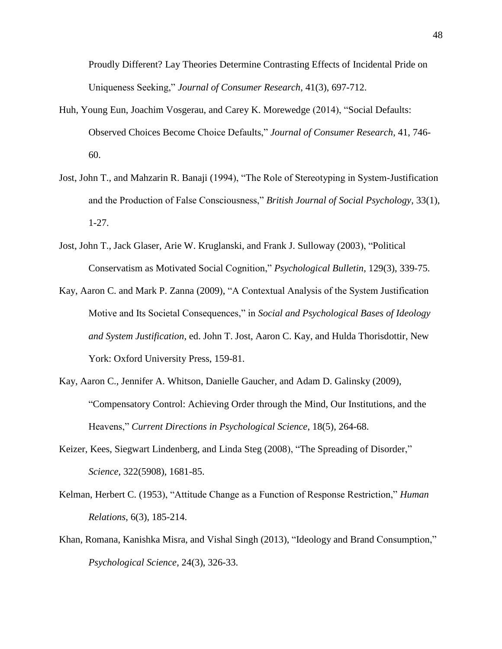Proudly Different? Lay Theories Determine Contrasting Effects of Incidental Pride on Uniqueness Seeking," *Journal of Consumer Research*, 41(3), 697-712.

- Huh, Young Eun, Joachim Vosgerau, and Carey K. Morewedge (2014), "Social Defaults: Observed Choices Become Choice Defaults," *Journal of Consumer Research*, 41, 746- 60.
- Jost, John T., and Mahzarin R. Banaji (1994), "The Role of Stereotyping in System-Justification and the Production of False Consciousness," *British Journal of Social Psychology*, 33(1), 1-27.
- Jost, John T., Jack Glaser, Arie W. Kruglanski, and Frank J. Sulloway (2003), "Political Conservatism as Motivated Social Cognition," *Psychological Bulletin*, 129(3), 339-75.
- Kay, Aaron C. and Mark P. Zanna (2009), "A Contextual Analysis of the System Justification Motive and Its Societal Consequences," in *Social and Psychological Bases of Ideology and System Justification*, ed. John T. Jost, Aaron C. Kay, and Hulda Thorisdottir, New York: Oxford University Press, 159-81.
- Kay, Aaron C., Jennifer A. Whitson, Danielle Gaucher, and Adam D. Galinsky (2009), "Compensatory Control: Achieving Order through the Mind, Our Institutions, and the Heavens," *Current Directions in Psychological Science*, 18(5), 264-68.
- Keizer, Kees, Siegwart Lindenberg, and Linda Steg (2008), "The Spreading of Disorder," *Science*, 322(5908), 1681-85.
- Kelman, Herbert C. (1953), "Attitude Change as a Function of Response Restriction," *Human Relations*, 6(3), 185-214.
- Khan, Romana, Kanishka Misra, and Vishal Singh (2013), "Ideology and Brand Consumption," *Psychological Science*, 24(3), 326-33.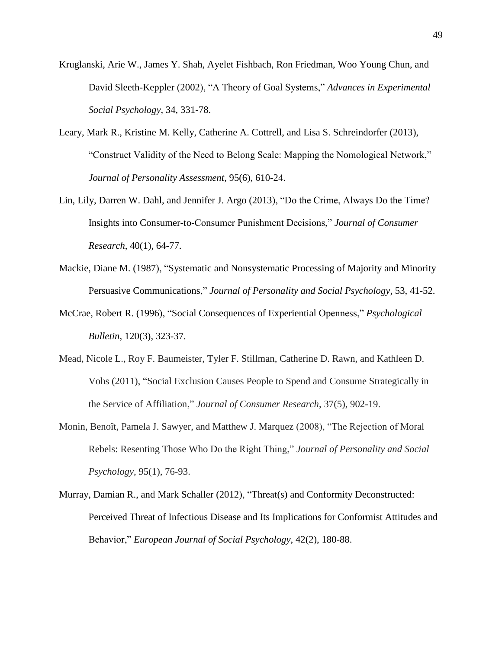- Kruglanski, Arie W., James Y. Shah, Ayelet Fishbach, Ron Friedman, Woo Young Chun, and David Sleeth-Keppler (2002), "A Theory of Goal Systems," *Advances in Experimental Social Psychology*, 34, 331-78.
- Leary, Mark R., Kristine M. Kelly, Catherine A. Cottrell, and Lisa S. Schreindorfer (2013), "Construct Validity of the Need to Belong Scale: Mapping the Nomological Network," *Journal of Personality Assessment*, 95(6), 610-24.
- Lin, Lily, Darren W. Dahl, and Jennifer J. Argo (2013), "Do the Crime, Always Do the Time? Insights into Consumer-to-Consumer Punishment Decisions," *Journal of Consumer Research*, 40(1), 64-77.
- Mackie, Diane M. (1987), "Systematic and Nonsystematic Processing of Majority and Minority Persuasive Communications," *Journal of Personality and Social Psychology*, 53, 41-52.
- McCrae, Robert R. (1996), "Social Consequences of Experiential Openness," *Psychological Bulletin*, 120(3), 323-37.
- Mead, Nicole L., Roy F. Baumeister, Tyler F. Stillman, Catherine D. Rawn, and Kathleen D. Vohs (2011), "Social Exclusion Causes People to Spend and Consume Strategically in the Service of Affiliation," *Journal of Consumer Research*, 37(5), 902-19.
- Monin, Benoît, Pamela J. Sawyer, and Matthew J. Marquez (2008), "The Rejection of Moral Rebels: Resenting Those Who Do the Right Thing," *Journal of Personality and Social Psychology*, 95(1), 76-93.
- Murray, Damian R., and Mark Schaller (2012), "Threat(s) and Conformity Deconstructed: Perceived Threat of Infectious Disease and Its Implications for Conformist Attitudes and Behavior," *European Journal of Social Psychology*, 42(2), 180-88.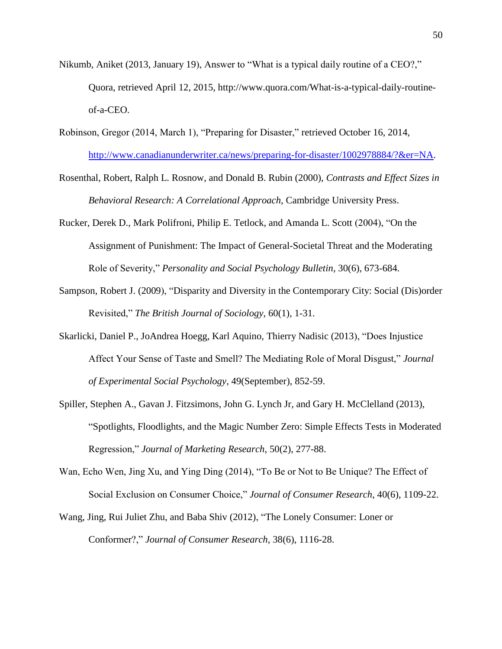- Nikumb, Aniket (2013, January 19), Answer to "What is a typical daily routine of a CEO?," Quora, retrieved April 12, 2015, http://www.quora.com/What-is-a-typical-daily-routineof-a-CEO.
- Robinson, Gregor (2014, March 1), "Preparing for Disaster," retrieved October 16, 2014, [http://www.canadianunderwriter.ca/news/preparing-for-disaster/1002978884/?&er=NA.](http://www.canadianunderwriter.ca/news/preparing-for-disaster/1002978884/?&er=NA)
- Rosenthal, Robert, Ralph L. Rosnow, and Donald B. Rubin (2000), *Contrasts and Effect Sizes in Behavioral Research: A Correlational Approach*, Cambridge University Press.
- Rucker, Derek D., Mark Polifroni, Philip E. Tetlock, and Amanda L. Scott (2004), "On the Assignment of Punishment: The Impact of General-Societal Threat and the Moderating Role of Severity," *Personality and Social Psychology Bulletin*, 30(6), 673-684.
- Sampson, Robert J. (2009), "Disparity and Diversity in the Contemporary City: Social (Dis)order Revisited," *The British Journal of Sociology*, 60(1), 1-31.
- Skarlicki, Daniel P., JoAndrea Hoegg, Karl Aquino, Thierry Nadisic (2013), "Does Injustice Affect Your Sense of Taste and Smell? The Mediating Role of Moral Disgust," *Journal of Experimental Social Psychology*, 49(September), 852-59.
- Spiller, Stephen A., Gavan J. Fitzsimons, John G. Lynch Jr, and Gary H. McClelland (2013), "Spotlights, Floodlights, and the Magic Number Zero: Simple Effects Tests in Moderated Regression," *Journal of Marketing Research*, 50(2), 277-88.
- Wan, Echo Wen, Jing Xu, and Ying Ding (2014), "To Be or Not to Be Unique? The Effect of Social Exclusion on Consumer Choice," *Journal of Consumer Research*, 40(6), 1109-22.
- Wang, Jing, Rui Juliet Zhu, and Baba Shiv (2012), "The Lonely Consumer: Loner or Conformer?," *Journal of Consumer Research*, 38(6), 1116-28.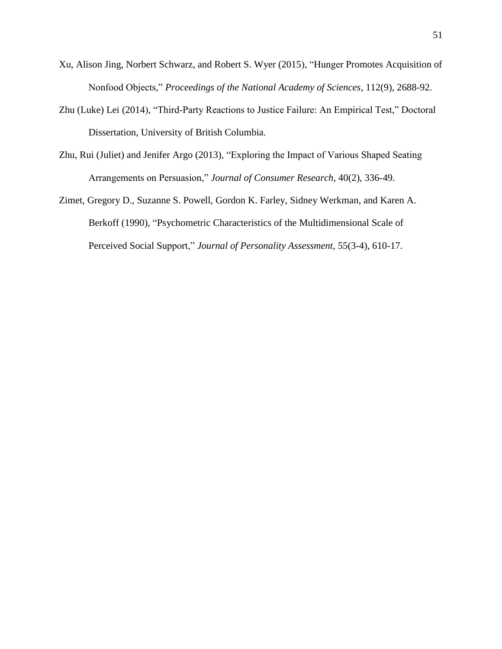- Xu, Alison Jing, Norbert Schwarz, and Robert S. Wyer (2015), "Hunger Promotes Acquisition of Nonfood Objects," *Proceedings of the National Academy of Sciences*, 112(9), 2688-92.
- Zhu (Luke) Lei (2014), "Third-Party Reactions to Justice Failure: An Empirical Test," Doctoral Dissertation, University of British Columbia.
- Zhu, Rui (Juliet) and Jenifer Argo (2013), "Exploring the Impact of Various Shaped Seating Arrangements on Persuasion," *Journal of Consumer Research*, 40(2), 336-49.
- Zimet, Gregory D., Suzanne S. Powell, Gordon K. Farley, Sidney Werkman, and Karen A. Berkoff (1990), "Psychometric Characteristics of the Multidimensional Scale of Perceived Social Support," *Journal of Personality Assessment*, 55(3-4), 610-17.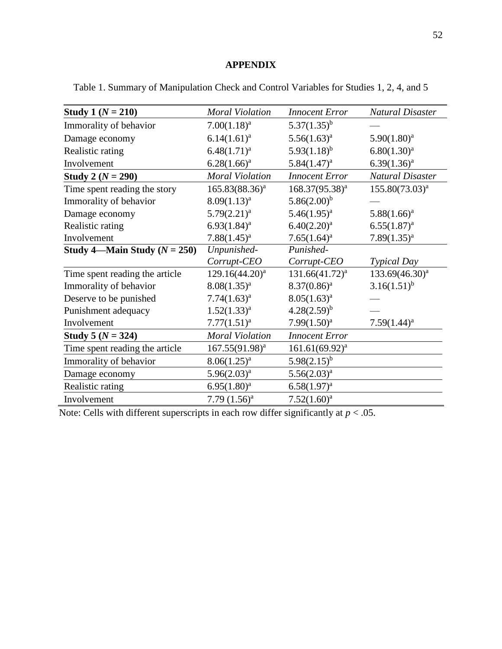# **APPENDIX**

| <b>Study 1</b> ( $N = 210$ )   | <b>Moral Violation</b> | <b>Innocent Error</b> | <b>Natural Disaster</b> |
|--------------------------------|------------------------|-----------------------|-------------------------|
| Immorality of behavior         | $7.00(1.18)^a$         | $5.37(1.35)^{b}$      |                         |
| Damage economy                 | $6.14(1.61)^a$         | $5.56(1.63)^{a}$      | $5.90(1.80)^a$          |
| Realistic rating               | $6.48(1.71)^a$         | $5.93(1.18)^{b}$      | $6.80(1.30)^a$          |
| Involvement                    | $6.28(1.66)^a$         | $5.84(1.47)^a$        | $6.39(1.36)^{a}$        |
| <b>Study 2</b> ( $N = 290$ )   | <b>Moral Violation</b> | <b>Innocent Error</b> | <b>Natural Disaster</b> |
| Time spent reading the story   | $165.83(88.36)^a$      | $168.37(95.38)^{a}$   | $155.80(73.03)^{a}$     |
| Immorality of behavior         | $8.09(1.13)^{a}$       | $5.86(2.00)^{b}$      |                         |
| Damage economy                 | $5.79(2.21)^a$         | $5.46(1.95)^{a}$      | $5.88(1.66)^a$          |
| Realistic rating               | $6.93(1.84)^a$         | $6.40(2.20)^{a}$      | $6.55(1.87)^{a}$        |
| Involvement                    | $7.88(1.45)^{a}$       | $7.65(1.64)^a$        | $7.89(1.35)^{a}$        |
| Study 4—Main Study $(N = 250)$ | Unpunished-            | Punished-             |                         |
|                                | Corrupt-CEO            | Corrupt-CEO           | <b>Typical Day</b>      |
| Time spent reading the article | $129.16(44.20)^{a}$    | $131.66(41.72)^{a}$   | $133.69(46.30)^{a}$     |
| Immorality of behavior         | $8.08(1.35)^{a}$       | $8.37(0.86)^a$        | $3.16(1.51)^{b}$        |
| Deserve to be punished         | $7.74(1.63)^{a}$       | $8.05(1.63)^{a}$      |                         |
| Punishment adequacy            | $1.52(1.33)^{a}$       | $4.28(2.59)^{b}$      |                         |
| Involvement                    | $7.77(1.51)^a$         | $7.99(1.50)^a$        | $7.59(1.44)^a$          |
| Study 5 ( $N = 324$ )          | <b>Moral Violation</b> | <b>Innocent Error</b> |                         |
| Time spent reading the article | $167.55(91.98)^{a}$    | $161.61(69.92)^{a}$   |                         |
| Immorality of behavior         | $8.06(1.25)^{a}$       | $5.98(2.15)^{b}$      |                         |
| Damage economy                 | $5.96(2.03)^{a}$       | $5.56(2.03)^{a}$      |                         |
| Realistic rating               | $6.95(1.80)^a$         | $6.58(1.97)^{a}$      |                         |
| Involvement                    | 7.79 $(1.56)^a$        | $7.52(1.60)^a$        |                         |

Table 1. Summary of Manipulation Check and Control Variables for Studies 1, 2, 4, and 5

Note: Cells with different superscripts in each row differ significantly at  $p < .05$ .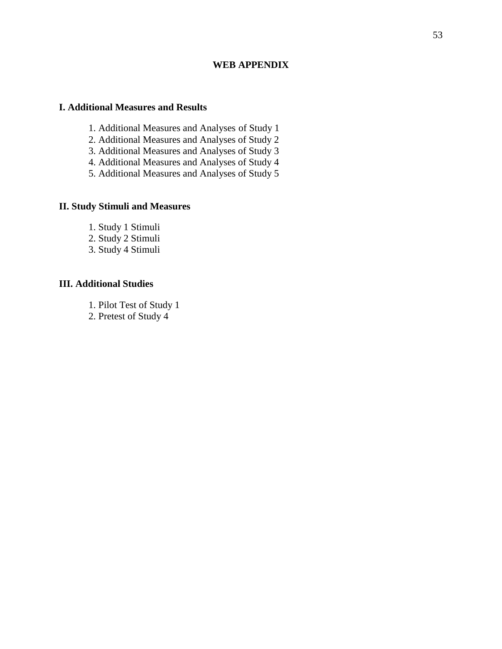## **WEB APPENDIX**

## **I. Additional Measures and Results**

- 1. Additional Measures and Analyses of Study 1
- 2. Additional Measures and Analyses of Study 2
- 3. Additional Measures and Analyses of Study 3
- 4. Additional Measures and Analyses of Study 4
- 5. Additional Measures and Analyses of Study 5

## **II. Study Stimuli and Measures**

- 1. Study 1 Stimuli
- 2. Study 2 Stimuli
- 3. Study 4 Stimuli

## **III. Additional Studies**

- 1. Pilot Test of Study 1
- 2. Pretest of Study 4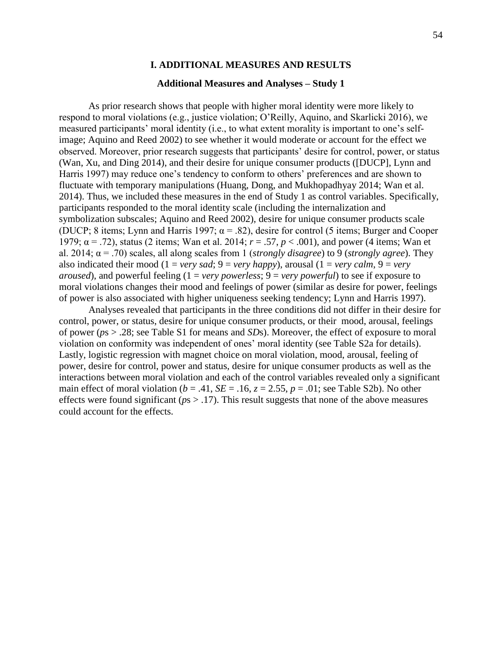### **I. ADDITIONAL MEASURES AND RESULTS**

#### **Additional Measures and Analyses – Study 1**

As prior research shows that people with higher moral identity were more likely to respond to moral violations (e.g., justice violation; O'Reilly, Aquino, and Skarlicki 2016), we measured participants' moral identity (i.e., to what extent morality is important to one's selfimage; Aquino and Reed 2002) to see whether it would moderate or account for the effect we observed. Moreover, prior research suggests that participants' desire for control, power, or status (Wan, Xu, and Ding 2014), and their desire for unique consumer products ([DUCP], Lynn and Harris 1997) may reduce one's tendency to conform to others' preferences and are shown to fluctuate with temporary manipulations (Huang, Dong, and Mukhopadhyay 2014; Wan et al. 2014). Thus, we included these measures in the end of Study 1 as control variables. Specifically, participants responded to the moral identity scale (including the internalization and symbolization subscales; Aquino and Reed 2002), desire for unique consumer products scale (DUCP; 8 items; Lynn and Harris 1997;  $\alpha$  = .82), desire for control (5 items; Burger and Cooper 1979; α = .72), status (2 items; Wan et al. 2014; *r* = .57, *p* < .001), and power (4 items; Wan et al. 2014; α = .70) scales, all along scales from 1 (*strongly disagree*) to 9 (*strongly agree*). They also indicated their mood ( $1 = \text{very} \text{ sad}$ ;  $9 = \text{very} \text{ happy}$ ), arousal ( $1 = \text{very} \text{ calm}$ ,  $9 = \text{very}$ *aroused*), and powerful feeling (1 = *very powerless*; 9 = *very powerful*) to see if exposure to moral violations changes their mood and feelings of power (similar as desire for power, feelings of power is also associated with higher uniqueness seeking tendency; Lynn and Harris 1997).

Analyses revealed that participants in the three conditions did not differ in their desire for control, power, or status, desire for unique consumer products, or their mood, arousal, feelings of power (*p*s > .28; see Table S1 for means and *SD*s). Moreover, the effect of exposure to moral violation on conformity was independent of ones' moral identity (see Table S2a for details). Lastly, logistic regression with magnet choice on moral violation, mood, arousal, feeling of power, desire for control, power and status, desire for unique consumer products as well as the interactions between moral violation and each of the control variables revealed only a significant main effect of moral violation ( $b = .41$ ,  $SE = .16$ ,  $z = 2.55$ ,  $p = .01$ ; see Table S2b). No other effects were found significant (*p*s > .17). This result suggests that none of the above measures could account for the effects.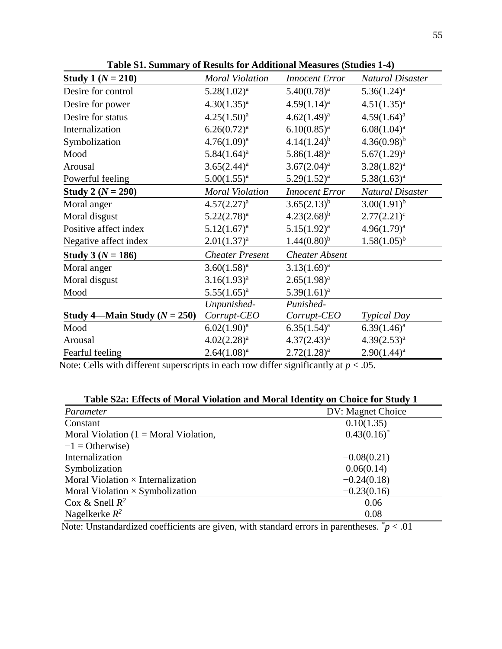| <b>Study 1</b> ( $N = 210$ )   | <b>Moral Violation</b> | <b>Innocent Error</b><br><b>Natural Disaster</b> |                         |
|--------------------------------|------------------------|--------------------------------------------------|-------------------------|
| Desire for control             | $5.28(1.02)^a$         | $5.40(0.78)^a$<br>$5.36(1.24)^a$                 |                         |
| Desire for power               | $4.30(1.35)^{a}$       | $4.59(1.14)^a$                                   | $4.51(1.35)^{a}$        |
| Desire for status              | $4.25(1.50)^a$         | $4.62(1.49)^a$<br>$4.59(1.64)^a$                 |                         |
| Internalization                | $6.26(0.72)^{a}$       | $6.10(0.85)^{a}$<br>$6.08(1.04)^{a}$             |                         |
| Symbolization                  | $4.76(1.09)^a$         | $4.14(1.24)^{b}$<br>$4.36(0.98)^{b}$             |                         |
| Mood                           | $5.84(1.64)^a$         | $5.86(1.48)^a$<br>$5.67(1.29)^a$                 |                         |
| Arousal                        | $3.65(2.44)^a$         | $3.67(2.04)^a$<br>$3.28(1.82)^a$                 |                         |
| Powerful feeling               | $5.00(1.55)^{a}$       | $5.29(1.52)^a$<br>$5.38(1.63)^a$                 |                         |
| <b>Study 2</b> ( $N = 290$ )   | <b>Moral Violation</b> | <b>Innocent Error</b>                            | <b>Natural Disaster</b> |
| Moral anger                    | $4.57(2.27)^a$         | $3.65(2.13)^{b}$                                 | $3.00(1.91)^{b}$        |
| Moral disgust                  | $5.22(2.78)^a$         | $4.23(2.68)^{b}$<br>$2.77(2.21)^c$               |                         |
| Positive affect index          | $5.12(1.67)^a$         | $5.15(1.92)^{a}$<br>$4.96(1.79)^a$               |                         |
| Negative affect index          | $2.01(1.37)^{a}$       | $1.58(1.05)^{b}$<br>$1.44(0.80)^{b}$             |                         |
| <b>Study 3</b> ( $N = 186$ )   | <b>Cheater Present</b> | <b>Cheater Absent</b>                            |                         |
| Moral anger                    | $3.60(1.58)^a$         | $3.13(1.69)^a$                                   |                         |
| Moral disgust                  | $3.16(1.93)^{a}$       | $2.65(1.98)^a$                                   |                         |
| Mood                           | $5.55(1.65)^{a}$       | $5.39(1.61)^a$                                   |                         |
|                                | Unpunished-            | Punished-                                        |                         |
| Study 4—Main Study $(N = 250)$ | Corrupt-CEO            | Corrupt-CEO                                      | <b>Typical Day</b>      |
| Mood                           | $6.02(1.90)^a$         | $6.35(1.54)^a$                                   | $6.39(1.46)^a$          |
| Arousal                        | $4.02(2.28)^a$         | $4.37(2.43)^a$                                   | $4.39(2.53)^{a}$        |
| Fearful feeling                | $2.64(1.08)^a$         | $2.72(1.28)^a$                                   | $2.90(1.44)^a$          |

**Table S1. Summary of Results for Additional Measures (Studies 1-4)**

Note: Cells with different superscripts in each row differ significantly at  $p < .05$ .

| Table S2a: Effects of Moral Violation and Moral Identity on Choice for Study 1 |                   |  |  |  |
|--------------------------------------------------------------------------------|-------------------|--|--|--|
| Parameter                                                                      | DV: Magnet Choice |  |  |  |
| Constant                                                                       | 0.10(1.35)        |  |  |  |
| Moral Violation $(1 = \text{Moral Violation})$ ,                               | $0.43(0.16)^*$    |  |  |  |
| $-1 =$ Otherwise)                                                              |                   |  |  |  |
| Internalization                                                                | $-0.08(0.21)$     |  |  |  |
| Symbolization                                                                  | 0.06(0.14)        |  |  |  |
| Moral Violation $\times$ Internalization                                       | $-0.24(0.18)$     |  |  |  |
| Moral Violation $\times$ Symbolization                                         | $-0.23(0.16)$     |  |  |  |
| Cox & Snell $R^2$                                                              | 0.06              |  |  |  |
| Nagelkerke $R^2$                                                               | 0.08              |  |  |  |
|                                                                                |                   |  |  |  |

Note: Unstandardized coefficients are given, with standard errors in parentheses.  $\dot{p}$  < .01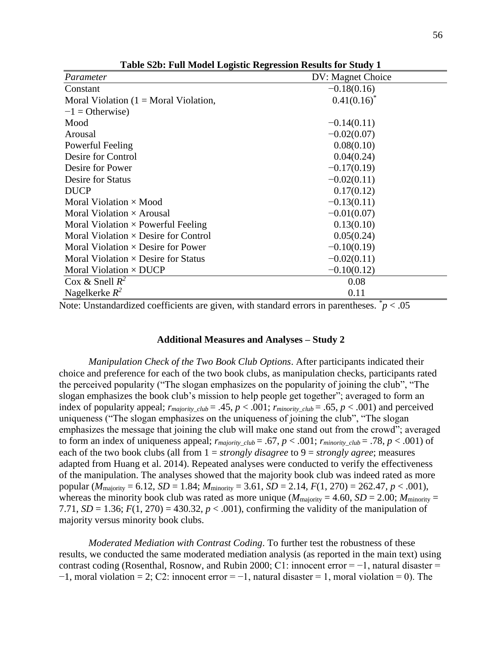| Parameter                                        | DV: Magnet Choice |
|--------------------------------------------------|-------------------|
| Constant                                         | $-0.18(0.16)$     |
| Moral Violation $(1 = \text{Moral Violation})$ , | $0.41(0.16)^*$    |
| $-1 =$ Otherwise)                                |                   |
| Mood                                             | $-0.14(0.11)$     |
| Arousal                                          | $-0.02(0.07)$     |
| Powerful Feeling                                 | 0.08(0.10)        |
| Desire for Control                               | 0.04(0.24)        |
| Desire for Power                                 | $-0.17(0.19)$     |
| Desire for Status                                | $-0.02(0.11)$     |
| <b>DUCP</b>                                      | 0.17(0.12)        |
| Moral Violation × Mood                           | $-0.13(0.11)$     |
| Moral Violation $\times$ Arousal                 | $-0.01(0.07)$     |
| Moral Violation $\times$ Powerful Feeling        | 0.13(0.10)        |
| Moral Violation $\times$ Desire for Control      | 0.05(0.24)        |
| Moral Violation $\times$ Desire for Power        | $-0.10(0.19)$     |
| Moral Violation $\times$ Desire for Status       | $-0.02(0.11)$     |
| Moral Violation $\times$ DUCP                    | $-0.10(0.12)$     |
| Cox & Snell $R^2$                                | 0.08              |
| Nagelkerke $R^2$                                 | 0.11              |

**Table S2b: Full Model Logistic Regression Results for Study 1**

Note: Unstandardized coefficients are given, with standard errors in parentheses.  $\dot{p}$  < .05

## **Additional Measures and Analyses – Study 2**

*Manipulation Check of the Two Book Club Options*. After participants indicated their choice and preference for each of the two book clubs, as manipulation checks, participants rated the perceived popularity ("The slogan emphasizes on the popularity of joining the club", "The slogan emphasizes the book club's mission to help people get together"; averaged to form an index of popularity appeal;  $r_{majority\_club} = .45$ ,  $p < .001$ ;  $r_{minority\_club} = .65$ ,  $p < .001$ ) and perceived uniqueness ("The slogan emphasizes on the uniqueness of joining the club", "The slogan emphasizes the message that joining the club will make one stand out from the crowd"; averaged to form an index of uniqueness appeal;  $r_{majority\;club} = .67$ ,  $p < .001$ ;  $r_{minority\;club} = .78$ ,  $p < .001$ ) of each of the two book clubs (all from 1 = *strongly disagree* to 9 = *strongly agree*; measures adapted from Huang et al. 2014). Repeated analyses were conducted to verify the effectiveness of the manipulation. The analyses showed that the majority book club was indeed rated as more popular ( $M_{\text{majority}} = 6.12$ ,  $SD = 1.84$ ;  $M_{\text{minority}} = 3.61$ ,  $SD = 2.14$ ,  $F(1, 270) = 262.47$ ,  $p < .001$ ), whereas the minority book club was rated as more unique ( $M_{\text{majority}} = 4.60$ ,  $SD = 2.00$ ;  $M_{\text{minority}} =$ 7.71, *SD* = 1.36;  $F(1, 270) = 430.32$ ,  $p < .001$ ), confirming the validity of the manipulation of majority versus minority book clubs.

*Moderated Mediation with Contrast Coding*. To further test the robustness of these results, we conducted the same moderated mediation analysis (as reported in the main text) using contrast coding (Rosenthal, Rosnow, and Rubin 2000; C1: innocent error = −1, natural disaster =  $-1$ , moral violation = 2; C2: innocent error =  $-1$ , natural disaster = 1, moral violation = 0). The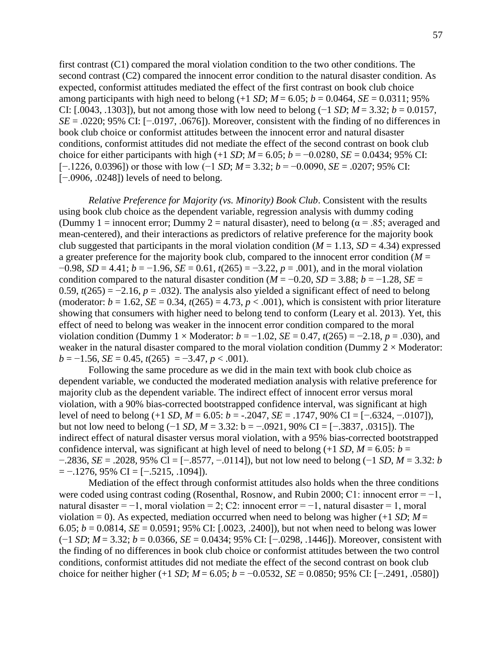first contrast (C1) compared the moral violation condition to the two other conditions. The second contrast (C2) compared the innocent error condition to the natural disaster condition. As expected, conformist attitudes mediated the effect of the first contrast on book club choice among participants with high need to belong  $(+1 SD; M = 6.05; b = 0.0464, SE = 0.0311; 95\%$ CI: [.0043, .1303]), but not among those with low need to belong  $(-1 SD; M = 3.32; b = 0.0157$ , *SE* = .0220; 95% CI: [−.0197, .0676]). Moreover, consistent with the finding of no differences in book club choice or conformist attitudes between the innocent error and natural disaster conditions, conformist attitudes did not mediate the effect of the second contrast on book club choice for either participants with high  $(+1 SD; M = 6.05; b = -0.0280, SE = 0.0434; 95\% CI:$ [−.1226, 0.0396]) or those with low (−1 *SD*; *M* = 3.32; *b* = −0.0090, *SE* = .0207; 95% CI: [−.0906, .0248]) levels of need to belong.

*Relative Preference for Majority (vs. Minority) Book Club*. Consistent with the results using book club choice as the dependent variable, regression analysis with dummy coding (Dummy 1 = innocent error; Dummy 2 = natural disaster), need to belong ( $\alpha$  = .85; averaged and mean-centered), and their interactions as predictors of relative preference for the majority book club suggested that participants in the moral violation condition  $(M = 1.13, SD = 4.34)$  expressed a greater preference for the majority book club, compared to the innocent error condition  $(M =$ −0.98, *SD* = 4.41; *b* = −1.96, *SE* = 0.61, *t*(265) = −3.22, *p* = .001), and in the moral violation condition compared to the natural disaster condition ( $M = -0.20$ ,  $SD = 3.88$ ;  $b = -1.28$ ,  $SE =$ 0.59,  $t(265) = -2.16$ ,  $p = .032$ ). The analysis also yielded a significant effect of need to belong (moderator:  $b = 1.62$ ,  $SE = 0.34$ ,  $t(265) = 4.73$ ,  $p < .001$ ), which is consistent with prior literature showing that consumers with higher need to belong tend to conform (Leary et al. 2013). Yet, this effect of need to belong was weaker in the innocent error condition compared to the moral violation condition (Dummy 1 × Moderator:  $b = -1.02$ ,  $SE = 0.47$ ,  $t(265) = -2.18$ ,  $p = .030$ ), and weaker in the natural disaster compared to the moral violation condition (Dummy  $2 \times$  Moderator:  $b = -1.56$ , *SE* = 0.45,  $t(265) = -3.47$ ,  $p < .001$ ).

Following the same procedure as we did in the main text with book club choice as dependent variable, we conducted the moderated mediation analysis with relative preference for majority club as the dependent variable. The indirect effect of innocent error versus moral violation, with a 90% bias-corrected bootstrapped confidence interval, was significant at high level of need to belong (+1 *SD*, *M* = 6.05: *b* = -.2047, *SE* = .1747, 90% CI = [−.6324, −.0107]), but not low need to belong (−1 *SD*, *M* = 3.32: b = −.0921, 90% CI = [−.3837, .0315]). The indirect effect of natural disaster versus moral violation, with a 95% bias-corrected bootstrapped confidence interval, was significant at high level of need to belong  $(+1 SD, M = 6.05; b =$ −.2836, *SE* = .2028, 95% Cl = [−.8577, −.0114]), but not low need to belong (−1 *SD*, *M* = 3.32: *b*  $= -0.1276,95\% \text{ CI} = [-0.5215,0.1094]$ .

Mediation of the effect through conformist attitudes also holds when the three conditions were coded using contrast coding (Rosenthal, Rosnow, and Rubin 2000; C1: innocent error =  $-1$ , natural disaster =  $-1$ , moral violation = 2; C2: innocent error =  $-1$ , natural disaster = 1, moral violation = 0). As expected, mediation occurred when need to belong was higher  $(+1 SD; M =$ 6.05;  $b = 0.0814$ ,  $SE = 0.0591$ ; 95% CI: [.0023, .2400]), but not when need to belong was lower (−1 *SD*; *M* = 3.32; *b* = 0.0366, *SE* = 0.0434; 95% CI: [−.0298, .1446]). Moreover, consistent with the finding of no differences in book club choice or conformist attitudes between the two control conditions, conformist attitudes did not mediate the effect of the second contrast on book club choice for neither higher  $(+1 SD; M = 6.05; b = -0.0532, SE = 0.0850; 95\% CI: [-2491, .0580])$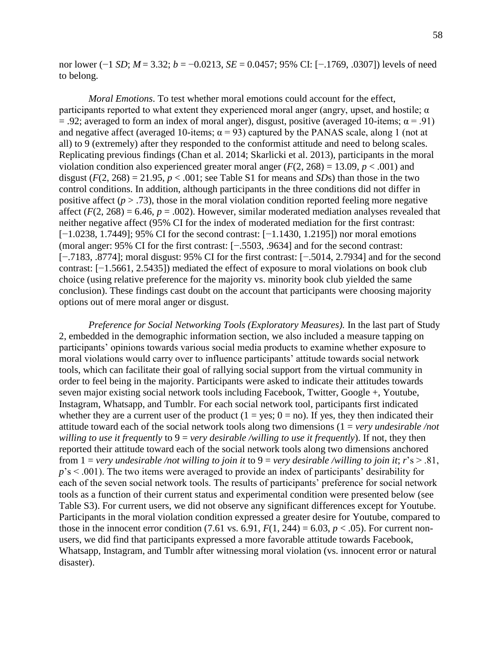nor lower (−1 *SD*; *M* = 3.32; *b* = −0.0213, *SE* = 0.0457; 95% CI: [−.1769, .0307]) levels of need to belong.

*Moral Emotions*. To test whether moral emotions could account for the effect, participants reported to what extent they experienced moral anger (angry, upset, and hostile;  $\alpha$  $= .92$ ; averaged to form an index of moral anger), disgust, positive (averaged 10-items;  $\alpha = .91$ ) and negative affect (averaged 10-items;  $\alpha = 93$ ) captured by the PANAS scale, along 1 (not at all) to 9 (extremely) after they responded to the conformist attitude and need to belong scales. Replicating previous findings (Chan et al. 2014; Skarlicki et al. 2013), participants in the moral violation condition also experienced greater moral anger  $(F(2, 268) = 13.09, p < .001)$  and disgust  $(F(2, 268) = 21.95, p < .001$ ; see Table S1 for means and *SDs*) than those in the two control conditions. In addition, although participants in the three conditions did not differ in positive affect  $(p > .73)$ , those in the moral violation condition reported feeling more negative affect  $(F(2, 268) = 6.46, p = .002)$ . However, similar moderated mediation analyses revealed that neither negative affect (95% CI for the index of moderated mediation for the first contrast: [−1.0238, 1.7449]; 95% CI for the second contrast: [−1.1430, 1.2195]) nor moral emotions (moral anger: 95% CI for the first contrast: [−.5503, .9634] and for the second contrast: [−.7183, .8774]; moral disgust: 95% CI for the first contrast: [−.5014, 2.7934] and for the second contrast: [−1.5661, 2.5435]) mediated the effect of exposure to moral violations on book club choice (using relative preference for the majority vs. minority book club yielded the same conclusion). These findings cast doubt on the account that participants were choosing majority options out of mere moral anger or disgust.

*Preference for Social Networking Tools (Exploratory Measures).* In the last part of Study 2, embedded in the demographic information section, we also included a measure tapping on participants' opinions towards various social media products to examine whether exposure to moral violations would carry over to influence participants' attitude towards social network tools, which can facilitate their goal of rallying social support from the virtual community in order to feel being in the majority. Participants were asked to indicate their attitudes towards seven major existing social network tools including Facebook, Twitter, Google +, Youtube, Instagram, Whatsapp, and Tumblr. For each social network tool, participants first indicated whether they are a current user of the product  $(1 = yes; 0 = no)$ . If yes, they then indicated their attitude toward each of the social network tools along two dimensions (1 = *very undesirable /not willing to use it frequently* to 9 = *very desirable /willing to use it frequently*). If not, they then reported their attitude toward each of the social network tools along two dimensions anchored from  $1 = \text{very undesirable/not willing to join it to 9 = \text{very desirable/willing to join it;  $r$ 's > .81,$ *p*'s < .001). The two items were averaged to provide an index of participants' desirability for each of the seven social network tools. The results of participants' preference for social network tools as a function of their current status and experimental condition were presented below (see Table S3). For current users, we did not observe any significant differences except for Youtube. Participants in the moral violation condition expressed a greater desire for Youtube, compared to those in the innocent error condition (7.61 vs. 6.91,  $F(1, 244) = 6.03$ ,  $p < .05$ ). For current nonusers, we did find that participants expressed a more favorable attitude towards Facebook, Whatsapp, Instagram, and Tumblr after witnessing moral violation (vs. innocent error or natural disaster).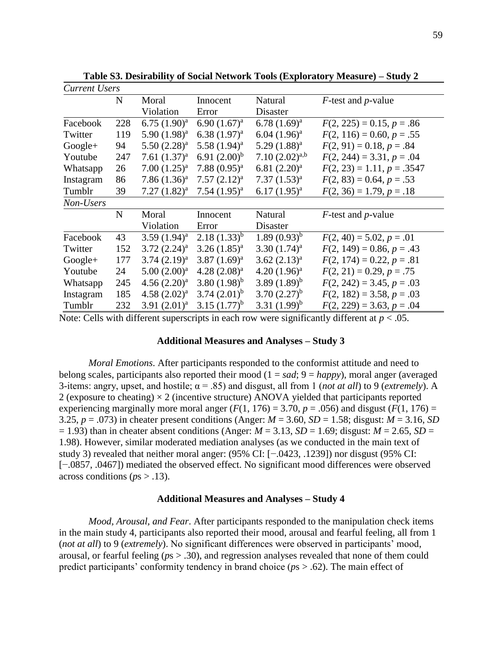| <b>Current Users</b> |                         |                   |                     |                              |
|----------------------|-------------------------|-------------------|---------------------|------------------------------|
| N                    | Moral                   | Innocent          | Natural             | $F$ -test and $p$ -value     |
|                      | Violation               | Error             | Disaster            |                              |
| 228                  | $6.75(1.90)^a$          | $6.90(1.67)^a$    | $6.78(1.69)^a$      | $F(2, 225) = 0.15, p = .86$  |
| 119                  | $5.90(1.98)^a$          | 6.38 $(1.97)^a$   | $6.04(1.96)^{a}$    | $F(2, 116) = 0.60, p = .55$  |
| 94                   | $5.50(2.28)^a$          | 5.58 $(1.94)^a$   | $5.29(1.88)^a$      | $F(2, 91) = 0.18, p = .84$   |
| 247                  | 7.61 $(1.37)^a$         | 6.91 $(2.00)^{b}$ | 7.10 $(2.02)^{a,b}$ | $F(2, 244) = 3.31, p = .04$  |
| 26                   | $7.00 (1.25)^{a}$       | $7.88(0.95)^{a}$  | 6.81 $(2.20)^a$     | $F(2, 23) = 1.11, p = .3547$ |
| 86                   | 7.86 $(1.36)^a$         | 7.57 $(2.12)^a$   | 7.37 $(1.53)^a$     | $F(2, 83) = 0.64, p = .53$   |
| 39                   | 7.27 $(1.82)^a$         | 7.54 $(1.95)^a$   | $6.17(1.95)^{a}$    | $F(2, 36) = 1.79, p = .18$   |
|                      |                         |                   |                     |                              |
| N                    | Moral                   | Innocent          | Natural             | $F$ -test and $p$ -value     |
|                      | Violation               | Error             | Disaster            |                              |
| 43                   | 3.59 $(1.94)^a$         | $2.18(1.33)^{b}$  | $1.89(0.93)^{b}$    | $F(2, 40) = 5.02, p = .01$   |
| 152                  | $3.72 (2.24)^a$         | $3.26(1.85)^{a}$  | 3.30 $(1.74)^a$     | $F(2, 149) = 0.86, p = .43$  |
| 177                  | $3.74 (2.19)^a$         | 3.87 $(1.69)^a$   | $3.62 (2.13)^a$     | $F(2, 174) = 0.22, p = .81$  |
| 24                   | 5.00(2.00) <sup>a</sup> | 4.28 $(2.08)^a$   | 4.20 $(1.96)^a$     | $F(2, 21) = 0.29, p = .75$   |
| 245                  | 4.56 $(2.20)^a$         | 3.80 $(1.98)^{b}$ | 3.89 $(1.89)^{b}$   | $F(2, 242) = 3.45, p = .03$  |
| 185                  | 4.58 $(2.02)^a$         | $3.74(2.01)^{b}$  | $3.70(2.27)^{b}$    | $F(2, 182) = 3.58, p = .03$  |
| 232                  | 3.91 $(2.01)^a$         | 3.15 $(1.77)^{b}$ | 3.31 $(1.99)^{b}$   | $F(2, 229) = 3.63, p = .04$  |
|                      |                         |                   |                     |                              |

**Table S3. Desirability of Social Network Tools (Exploratory Measure) – Study 2** 

Note: Cells with different superscripts in each row were significantly different at *p* < .05.

#### **Additional Measures and Analyses – Study 3**

*Moral Emotions*. After participants responded to the conformist attitude and need to belong scales, participants also reported their mood (1 = *sad*; 9 = *happy*), moral anger (averaged 3-items: angry, upset, and hostile;  $\alpha = .85$ ) and disgust, all from 1 (*not at all*) to 9 (*extremely*). A 2 (exposure to cheating)  $\times$  2 (incentive structure) ANOVA yielded that participants reported experiencing marginally more moral anger  $(F(1, 176) = 3.70, p = .056)$  and disgust  $(F(1, 176) =$ 3.25,  $p = .073$ ) in cheater present conditions (Anger:  $M = 3.60$ ,  $SD = 1.58$ ; disgust:  $M = 3.16$ , SD  $= 1.93$ ) than in cheater absent conditions (Anger:  $M = 3.13$ ,  $SD = 1.69$ ; disgust:  $M = 2.65$ ,  $SD = 1.69$ 1.98). However, similar moderated mediation analyses (as we conducted in the main text of study 3) revealed that neither moral anger: (95% CI: [−.0423, .1239]) nor disgust (95% CI: [−.0857, .0467]) mediated the observed effect. No significant mood differences were observed across conditions (*p*s > .13).

#### **Additional Measures and Analyses – Study 4**

*Mood, Arousal, and Fear*. After participants responded to the manipulation check items in the main study 4, participants also reported their mood, arousal and fearful feeling, all from 1 (*not at all*) to 9 (*extremely*). No significant differences were observed in participants' mood, arousal, or fearful feeling (*p*s > .30), and regression analyses revealed that none of them could predict participants' conformity tendency in brand choice (*p*s > .62). The main effect of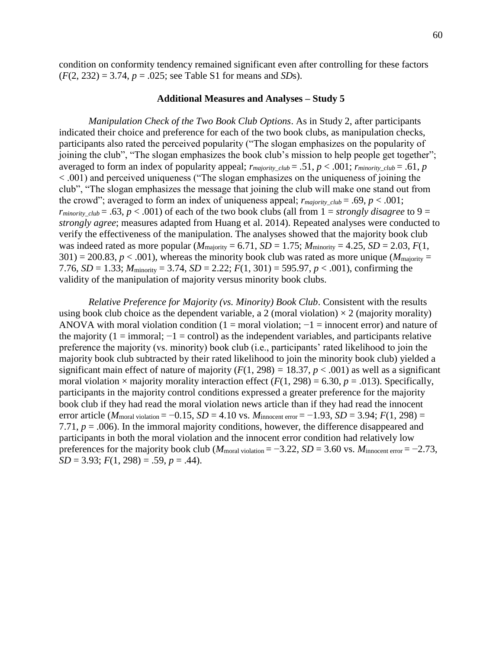condition on conformity tendency remained significant even after controlling for these factors (*F*(2, 232) = 3.74, *p* = .025; see Table S1 for means and *SD*s).

#### **Additional Measures and Analyses – Study 5**

*Manipulation Check of the Two Book Club Options*. As in Study 2, after participants indicated their choice and preference for each of the two book clubs, as manipulation checks, participants also rated the perceived popularity ("The slogan emphasizes on the popularity of joining the club", "The slogan emphasizes the book club's mission to help people get together"; averaged to form an index of popularity appeal;  $r_{majority\;club} = .51, p < .001$ ;  $r_{minority\;club} = .61, p$ < .001) and perceived uniqueness ("The slogan emphasizes on the uniqueness of joining the club", "The slogan emphasizes the message that joining the club will make one stand out from the crowd"; averaged to form an index of uniqueness appeal;  $r_{majority\;club} = .69$ ,  $p < .001$ ; *r*<sub>minority</sub>  $_{\text{club}} = .63$ ,  $p < .001$ ) of each of the two book clubs (all from 1 = *strongly disagree* to 9 = *strongly agree*; measures adapted from Huang et al. 2014). Repeated analyses were conducted to verify the effectiveness of the manipulation. The analyses showed that the majority book club was indeed rated as more popular  $(M_{\text{majority}} = 6.71, SD = 1.75; M_{\text{minority}} = 4.25, SD = 2.03, F(1,$  $301$ ) = 200.83, *p* < .001), whereas the minority book club was rated as more unique ( $M_{\text{majority}}$  = 7.76, *SD* = 1.33;  $M_{\text{minority}}$  = 3.74, *SD* = 2.22;  $F(1, 301)$  = 595.97,  $p < .001$ ), confirming the validity of the manipulation of majority versus minority book clubs.

*Relative Preference for Majority (vs. Minority) Book Club*. Consistent with the results using book club choice as the dependent variable, a 2 (moral violation)  $\times$  2 (majority morality) ANOVA with moral violation condition (1 = moral violation;  $-1$  = innocent error) and nature of the majority (1 = immoral;  $-1$  = control) as the independent variables, and participants relative preference the majority (vs. minority) book club (i.e., participants' rated likelihood to join the majority book club subtracted by their rated likelihood to join the minority book club) yielded a significant main effect of nature of majority  $(F(1, 298) = 18.37, p < .001)$  as well as a significant moral violation  $\times$  majority morality interaction effect ( $F(1, 298) = 6.30$ ,  $p = .013$ ). Specifically, participants in the majority control conditions expressed a greater preference for the majority book club if they had read the moral violation news article than if they had read the innocent error article ( $M_{\text{moral violation}} = -0.15$ ,  $SD = 4.10$  vs.  $M_{\text{innocent error}} = -1.93$ ,  $SD = 3.94$ ;  $F(1, 298) =$ 7.71, *p* = .006). In the immoral majority conditions, however, the difference disappeared and participants in both the moral violation and the innocent error condition had relatively low preferences for the majority book club ( $M_{\text{moral violation}} = -3.22$ ,  $SD = 3.60$  vs.  $M_{\text{innocent error}} = -2.73$ , *SD* = 3.93; *F*(1, 298) = .59, *p* = .44).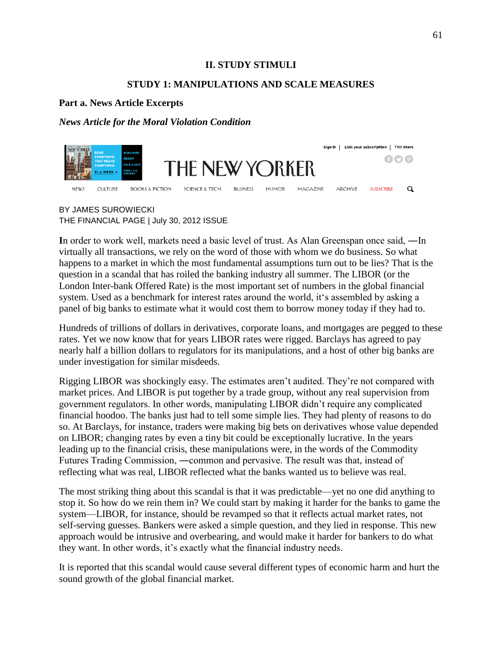## **II. STUDY STIMULI**

## **STUDY 1: MANIPULATIONS AND SCALE MEASURES**

## **Part a. News Article Excerpts**

## *News Article for the Moral Violation Condition*



BY JAMES SUROWIECKI THE FINANCIAL PAGE | July 30, 2012 ISSUE

**I**n order to work well, markets need a basic level of trust. As Alan Greenspan once said, ―In virtually all transactions, we rely on the word of those with whom we do business. So what happens to a market in which the most fundamental assumptions turn out to be lies? That is the question in a scandal that has roiled the banking industry all summer. The LIBOR (or the London Inter-bank Offered Rate) is the most important set of numbers in the global financial system. Used as a benchmark for interest rates around the world, it's assembled by asking a panel of big banks to estimate what it would cost them to borrow money today if they had to.

Hundreds of trillions of dollars in derivatives, corporate loans, and mortgages are pegged to these rates. Yet we now know that for years LIBOR rates were rigged. Barclays has agreed to pay nearly half a billion dollars to regulators for its manipulations, and a host of other big banks are under investigation for similar misdeeds.

Rigging LIBOR was shockingly easy. The estimates aren't audited. They're not compared with market prices. And LIBOR is put together by a trade group, without any real supervision from government regulators. In other words, manipulating LIBOR didn't require any complicated financial hoodoo. The banks just had to tell some simple lies. They had plenty of reasons to do so. At Barclays, for instance, traders were making big bets on derivatives whose value depended on LIBOR; changing rates by even a tiny bit could be exceptionally lucrative. In the years leading up to the financial crisis, these manipulations were, in the words of the Commodity Futures Trading Commission, ―common and pervasive. The result was that, instead of reflecting what was real, LIBOR reflected what the banks wanted us to believe was real.

The most striking thing about this scandal is that it was predictable—yet no one did anything to stop it. So how do we rein them in? We could start by making it harder for the banks to game the system—LIBOR, for instance, should be revamped so that it reflects actual market rates, not self-serving guesses. Bankers were asked a simple question, and they lied in response. This new approach would be intrusive and overbearing, and would make it harder for bankers to do what they want. In other words, it's exactly what the financial industry needs.

It is reported that this scandal would cause several different types of economic harm and hurt the sound growth of the global financial market.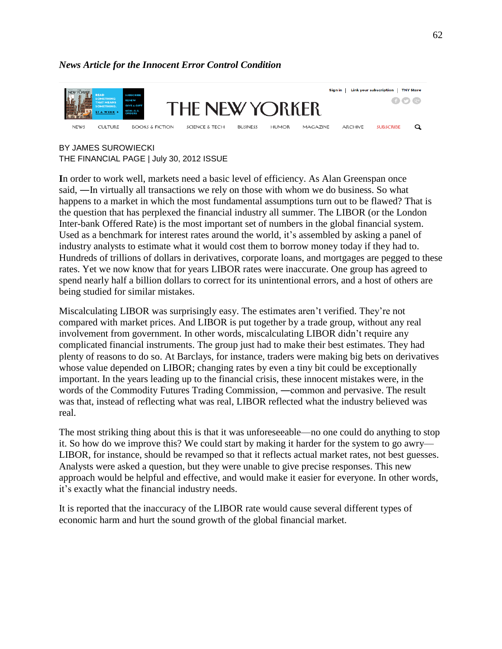## *News Article for the Innocent Error Control Condition*



BY JAMES SUROWIECKI THE FINANCIAL PAGE | July 30, 2012 ISSUE

**I**n order to work well, markets need a basic level of efficiency. As Alan Greenspan once said, ―In virtually all transactions we rely on those with whom we do business. So what happens to a market in which the most fundamental assumptions turn out to be flawed? That is the question that has perplexed the financial industry all summer. The LIBOR (or the London Inter-bank Offered Rate) is the most important set of numbers in the global financial system. Used as a benchmark for interest rates around the world, it's assembled by asking a panel of industry analysts to estimate what it would cost them to borrow money today if they had to. Hundreds of trillions of dollars in derivatives, corporate loans, and mortgages are pegged to these rates. Yet we now know that for years LIBOR rates were inaccurate. One group has agreed to spend nearly half a billion dollars to correct for its unintentional errors, and a host of others are being studied for similar mistakes.

Miscalculating LIBOR was surprisingly easy. The estimates aren't verified. They're not compared with market prices. And LIBOR is put together by a trade group, without any real involvement from government. In other words, miscalculating LIBOR didn't require any complicated financial instruments. The group just had to make their best estimates. They had plenty of reasons to do so. At Barclays, for instance, traders were making big bets on derivatives whose value depended on LIBOR; changing rates by even a tiny bit could be exceptionally important. In the years leading up to the financial crisis, these innocent mistakes were, in the words of the Commodity Futures Trading Commission, ―common and pervasive. The result was that, instead of reflecting what was real, LIBOR reflected what the industry believed was real.

The most striking thing about this is that it was unforeseeable—no one could do anything to stop it. So how do we improve this? We could start by making it harder for the system to go awry— LIBOR, for instance, should be revamped so that it reflects actual market rates, not best guesses. Analysts were asked a question, but they were unable to give precise responses. This new approach would be helpful and effective, and would make it easier for everyone. In other words, it's exactly what the financial industry needs.

It is reported that the inaccuracy of the LIBOR rate would cause several different types of economic harm and hurt the sound growth of the global financial market.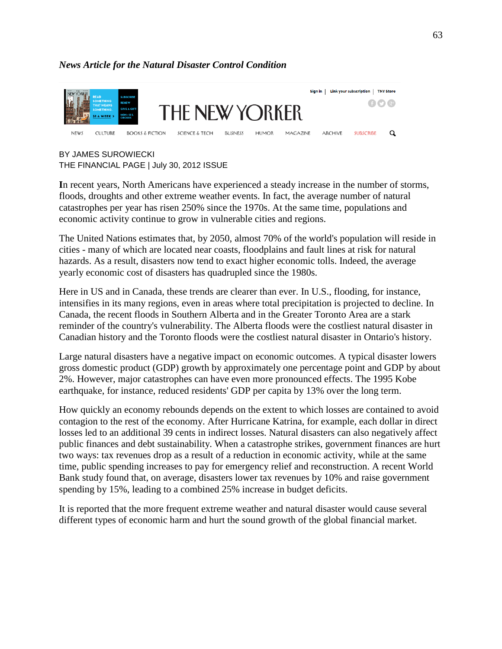## *News Article for the Natural Disaster Control Condition*



## BY JAMES SUROWIECKI THE FINANCIAL PAGE | July 30, 2012 ISSUE

**I**n recent years, North Americans have experienced a steady increase in the number of storms, floods, droughts and other extreme weather events. In fact, the average number of natural catastrophes per year has risen 250% since the 1970s. At the same time, populations and economic activity continue to grow in vulnerable cities and regions.

The United Nations estimates that, by 2050, almost 70% of the world's population will reside in cities - many of which are located near coasts, floodplains and fault lines at risk for natural hazards. As a result, disasters now tend to exact higher economic tolls. Indeed, the average yearly economic cost of disasters has quadrupled since the 1980s.

Here in US and in Canada, these trends are clearer than ever. In U.S., flooding, for instance, intensifies in its many regions, even in areas where total precipitation is projected to decline. In Canada, the recent floods in Southern Alberta and in the Greater Toronto Area are a stark reminder of the country's vulnerability. The Alberta floods were the costliest natural disaster in Canadian history and the Toronto floods were the costliest natural disaster in Ontario's history.

Large natural disasters have a negative impact on economic outcomes. A typical disaster lowers gross domestic product (GDP) growth by approximately one percentage point and GDP by about 2%. However, major catastrophes can have even more pronounced effects. The 1995 Kobe earthquake, for instance, reduced residents' GDP per capita by 13% over the long term.

How quickly an economy rebounds depends on the extent to which losses are contained to avoid contagion to the rest of the economy. After Hurricane Katrina, for example, each dollar in direct losses led to an additional 39 cents in indirect losses. Natural disasters can also negatively affect public finances and debt sustainability. When a catastrophe strikes, government finances are hurt two ways: tax revenues drop as a result of a reduction in economic activity, while at the same time, public spending increases to pay for emergency relief and reconstruction. A recent World Bank study found that, on average, disasters lower tax revenues by 10% and raise government spending by 15%, leading to a combined 25% increase in budget deficits.

It is reported that the more frequent extreme weather and natural disaster would cause several different types of economic harm and hurt the sound growth of the global financial market.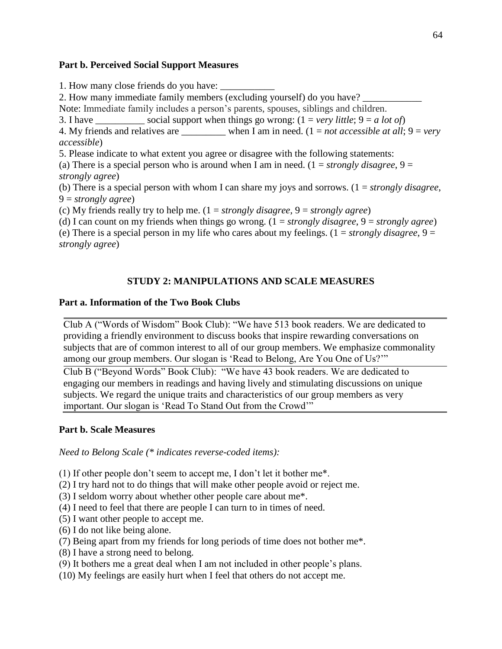## **Part b. Perceived Social Support Measures**

1. How many close friends do you have:

2. How many immediate family members (excluding yourself) do you have?

Note: Immediate family includes a person's parents, spouses, siblings and children.

3. I have \_\_\_\_\_\_\_\_\_\_ social support when things go wrong:  $(1 = \text{very little}; 9 = a \text{ lot of})$ 

4. My friends and relatives are \_\_\_\_\_\_\_\_\_ when I am in need. (1 = *not accessible at all*; 9 = *very accessible*)

5. Please indicate to what extent you agree or disagree with the following statements:

(a) There is a special person who is around when I am in need.  $(1 = strongly \, disagree, 9 =$ *strongly agree*)

(b) There is a special person with whom I can share my joys and sorrows. (1 = *strongly disagree*, 9 = *strongly agree*)

(c) My friends really try to help me. (1 = *strongly disagree*, 9 = *strongly agree*)

(d) I can count on my friends when things go wrong. (1 = *strongly disagree*, 9 = *strongly agree*) (e) There is a special person in my life who cares about my feelings.  $(1 = strongly \, disagree, 9 = 1)$ *strongly agree*)

# **STUDY 2: MANIPULATIONS AND SCALE MEASURES**

## **Part a. Information of the Two Book Clubs**

Club A ("Words of Wisdom" Book Club): "We have 513 book readers. We are dedicated to providing a friendly environment to discuss books that inspire rewarding conversations on subjects that are of common interest to all of our group members. We emphasize commonality among our group members. Our slogan is 'Read to Belong, Are You One of Us?'"

Club B ("Beyond Words" Book Club): "We have 43 book readers. We are dedicated to engaging our members in readings and having lively and stimulating discussions on unique subjects. We regard the unique traits and characteristics of our group members as very important. Our slogan is 'Read To Stand Out from the Crowd'"

## **Part b. Scale Measures**

*Need to Belong Scale (\* indicates reverse-coded items):* 

(1) If other people don't seem to accept me, I don't let it bother me\*.

(2) I try hard not to do things that will make other people avoid or reject me.

(3) I seldom worry about whether other people care about me\*.

(4) I need to feel that there are people I can turn to in times of need.

(5) I want other people to accept me.

- (6) I do not like being alone.
- (7) Being apart from my friends for long periods of time does not bother me\*.
- (8) I have a strong need to belong.
- (9) It bothers me a great deal when I am not included in other people's plans.
- (10) My feelings are easily hurt when I feel that others do not accept me.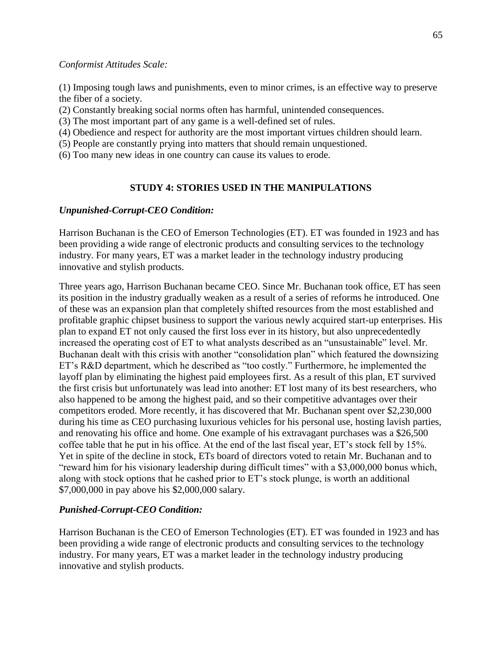## *Conformist Attitudes Scale:*

(1) Imposing tough laws and punishments, even to minor crimes, is an effective way to preserve the fiber of a society.

(2) Constantly breaking social norms often has harmful, unintended consequences.

(3) The most important part of any game is a well-defined set of rules.

(4) Obedience and respect for authority are the most important virtues children should learn.

(5) People are constantly prying into matters that should remain unquestioned.

(6) Too many new ideas in one country can cause its values to erode.

# **STUDY 4: STORIES USED IN THE MANIPULATIONS**

## *Unpunished-Corrupt-CEO Condition:*

Harrison Buchanan is the CEO of Emerson Technologies (ET). ET was founded in 1923 and has been providing a wide range of electronic products and consulting services to the technology industry. For many years, ET was a market leader in the technology industry producing innovative and stylish products.

Three years ago, Harrison Buchanan became CEO. Since Mr. Buchanan took office, ET has seen its position in the industry gradually weaken as a result of a series of reforms he introduced. One of these was an expansion plan that completely shifted resources from the most established and profitable graphic chipset business to support the various newly acquired start-up enterprises. His plan to expand ET not only caused the first loss ever in its history, but also unprecedentedly increased the operating cost of ET to what analysts described as an "unsustainable" level. Mr. Buchanan dealt with this crisis with another "consolidation plan" which featured the downsizing ET's R&D department, which he described as "too costly." Furthermore, he implemented the layoff plan by eliminating the highest paid employees first. As a result of this plan, ET survived the first crisis but unfortunately was lead into another: ET lost many of its best researchers, who also happened to be among the highest paid, and so their competitive advantages over their competitors eroded. More recently, it has discovered that Mr. Buchanan spent over \$2,230,000 during his time as CEO purchasing luxurious vehicles for his personal use, hosting lavish parties, and renovating his office and home. One example of his extravagant purchases was a \$26,500 coffee table that he put in his office. At the end of the last fiscal year, ET's stock fell by 15%. Yet in spite of the decline in stock, ETs board of directors voted to retain Mr. Buchanan and to "reward him for his visionary leadership during difficult times" with a \$3,000,000 bonus which, along with stock options that he cashed prior to ET's stock plunge, is worth an additional \$7,000,000 in pay above his \$2,000,000 salary.

## *Punished-Corrupt-CEO Condition:*

Harrison Buchanan is the CEO of Emerson Technologies (ET). ET was founded in 1923 and has been providing a wide range of electronic products and consulting services to the technology industry. For many years, ET was a market leader in the technology industry producing innovative and stylish products.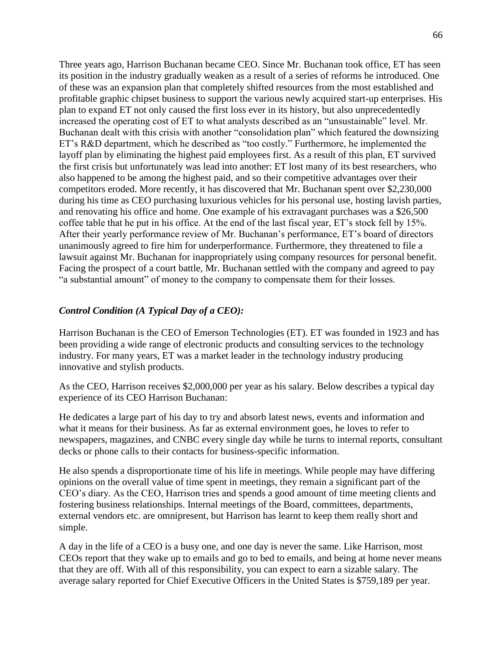Three years ago, Harrison Buchanan became CEO. Since Mr. Buchanan took office, ET has seen its position in the industry gradually weaken as a result of a series of reforms he introduced. One of these was an expansion plan that completely shifted resources from the most established and profitable graphic chipset business to support the various newly acquired start-up enterprises. His plan to expand ET not only caused the first loss ever in its history, but also unprecedentedly increased the operating cost of ET to what analysts described as an "unsustainable" level. Mr. Buchanan dealt with this crisis with another "consolidation plan" which featured the downsizing ET's R&D department, which he described as "too costly." Furthermore, he implemented the layoff plan by eliminating the highest paid employees first. As a result of this plan, ET survived the first crisis but unfortunately was lead into another: ET lost many of its best researchers, who also happened to be among the highest paid, and so their competitive advantages over their competitors eroded. More recently, it has discovered that Mr. Buchanan spent over \$2,230,000 during his time as CEO purchasing luxurious vehicles for his personal use, hosting lavish parties, and renovating his office and home. One example of his extravagant purchases was a \$26,500 coffee table that he put in his office. At the end of the last fiscal year, ET's stock fell by 15%. After their yearly performance review of Mr. Buchanan's performance, ET's board of directors unanimously agreed to fire him for underperformance. Furthermore, they threatened to file a lawsuit against Mr. Buchanan for inappropriately using company resources for personal benefit. Facing the prospect of a court battle, Mr. Buchanan settled with the company and agreed to pay "a substantial amount" of money to the company to compensate them for their losses.

## *Control Condition (A Typical Day of a CEO):*

Harrison Buchanan is the CEO of Emerson Technologies (ET). ET was founded in 1923 and has been providing a wide range of electronic products and consulting services to the technology industry. For many years, ET was a market leader in the technology industry producing innovative and stylish products.

As the CEO, Harrison receives \$2,000,000 per year as his salary. Below describes a typical day experience of its CEO Harrison Buchanan:

He dedicates a large part of his day to try and absorb latest news, events and information and what it means for their business. As far as external environment goes, he loves to refer to newspapers, magazines, and CNBC every single day while he turns to internal reports, consultant decks or phone calls to their contacts for business-specific information.

He also spends a disproportionate time of his life in meetings. While people may have differing opinions on the overall value of time spent in meetings, they remain a significant part of the CEO's diary. As the CEO, Harrison tries and spends a good amount of time meeting clients and fostering business relationships. Internal meetings of the Board, committees, departments, external vendors etc. are omnipresent, but Harrison has learnt to keep them really short and simple.

A day in the life of a CEO is a busy one, and one day is never the same. Like Harrison, most CEOs report that they wake up to emails and go to bed to emails, and being at home never means that they are off. With all of this responsibility, you can expect to earn a sizable salary. The average salary reported for Chief Executive Officers in the United States is \$759,189 per year.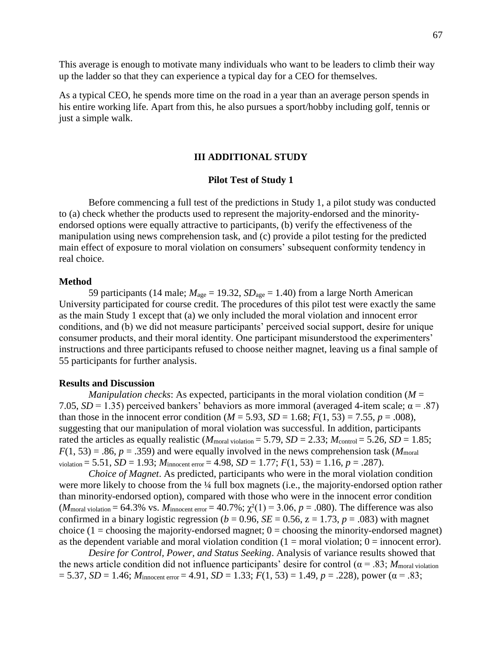This average is enough to motivate many individuals who want to be leaders to climb their way up the ladder so that they can experience a typical day for a CEO for themselves.

As a typical CEO, he spends more time on the road in a year than an average person spends in his entire working life. Apart from this, he also pursues a sport/hobby including golf, tennis or just a simple walk.

## **III ADDITIONAL STUDY**

## **Pilot Test of Study 1**

Before commencing a full test of the predictions in Study 1, a pilot study was conducted to (a) check whether the products used to represent the majority-endorsed and the minorityendorsed options were equally attractive to participants, (b) verify the effectiveness of the manipulation using news comprehension task, and (c) provide a pilot testing for the predicted main effect of exposure to moral violation on consumers' subsequent conformity tendency in real choice.

## **Method**

59 participants (14 male;  $M_{\text{age}} = 19.32$ ,  $SD_{\text{age}} = 1.40$ ) from a large North American University participated for course credit. The procedures of this pilot test were exactly the same as the main Study 1 except that (a) we only included the moral violation and innocent error conditions, and (b) we did not measure participants' perceived social support, desire for unique consumer products, and their moral identity. One participant misunderstood the experimenters' instructions and three participants refused to choose neither magnet, leaving us a final sample of 55 participants for further analysis.

### **Results and Discussion**

*Manipulation checks*: As expected, participants in the moral violation condition (*M* = 7.05,  $SD = 1.35$ ) perceived bankers' behaviors as more immoral (averaged 4-item scale;  $\alpha = .87$ ) than those in the innocent error condition ( $M = 5.93$ ,  $SD = 1.68$ ;  $F(1, 53) = 7.55$ ,  $p = .008$ ), suggesting that our manipulation of moral violation was successful. In addition, participants rated the articles as equally realistic ( $M_{\text{moral violation}} = 5.79$ ,  $SD = 2.33$ ;  $M_{\text{control}} = 5.26$ ,  $SD = 1.85$ ;  $F(1, 53) = .86$ ,  $p = .359$ ) and were equally involved in the news comprehension task (*M*<sub>moral</sub>)  $v_{\text{violation}} = 5.51$ ,  $SD = 1.93$ ;  $M_{\text{innocent error}} = 4.98$ ,  $SD = 1.77$ ;  $F(1, 53) = 1.16$ ,  $p = .287$ ).

*Choice of Magnet*. As predicted, participants who were in the moral violation condition were more likely to choose from the ¼ full box magnets (i.e., the majority-endorsed option rather than minority-endorsed option), compared with those who were in the innocent error condition  $(M_{\text{moral violation}} = 64.3\%$  vs.  $M_{\text{innocent error}} = 40.7\%; \gamma^2(1) = 3.06, p = .080$ . The difference was also confirmed in a binary logistic regression ( $b = 0.96$ ,  $SE = 0.56$ ,  $z = 1.73$ ,  $p = .083$ ) with magnet choice (1 = choosing the majority-endorsed magnet;  $0 =$  choosing the minority-endorsed magnet) as the dependent variable and moral violation condition  $(1 = \text{moral violation}; 0 = \text{innocent error}).$ 

*Desire for Control, Power, and Status Seeking*. Analysis of variance results showed that the news article condition did not influence participants' desire for control ( $\alpha$  = .83; *M*<sub>moral violation</sub>  $= 5.37, SD = 1.46; M_{\text{innocent error}} = 4.91, SD = 1.33; F(1, 53) = 1.49, p = .228$ ), power ( $\alpha = .83;$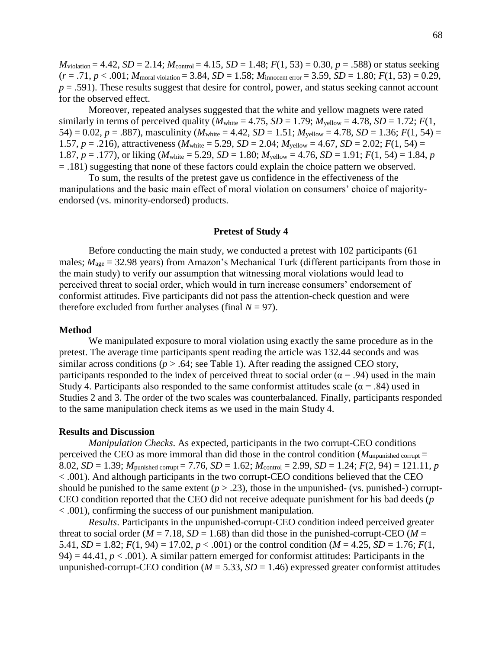$M_{\text{violation}} = 4.42$ ,  $SD = 2.14$ ;  $M_{\text{control}} = 4.15$ ,  $SD = 1.48$ ;  $F(1, 53) = 0.30$ ,  $p = .588$ ) or status seeking  $(r = .71, p < .001; M_{\text{moral violation}} = 3.84, SD = 1.58; M_{\text{innocent error}} = 3.59, SD = 1.80; F(1, 53) = 0.29,$  $p = .591$ ). These results suggest that desire for control, power, and status seeking cannot account for the observed effect.

Moreover, repeated analyses suggested that the white and yellow magnets were rated similarly in terms of perceived quality ( $M_{white} = 4.75$ ,  $SD = 1.79$ ;  $M_{yellow} = 4.78$ ,  $SD = 1.72$ ;  $F(1,$ 54) = 0.02,  $p = .887$ , masculinity ( $M_{white} = 4.42$ ,  $SD = 1.51$ ;  $M_{yellow} = 4.78$ ,  $SD = 1.36$ ;  $F(1, 54) =$ 1.57,  $p = .216$ ), attractiveness ( $M_{white} = 5.29$ ,  $SD = 2.04$ ;  $M_{yellow} = 4.67$ ,  $SD = 2.02$ ;  $F(1, 54) =$ 1.87,  $p = .177$ ), or liking ( $M_{white} = 5.29$ ,  $SD = 1.80$ ;  $M_{yellow} = 4.76$ ,  $SD = 1.91$ ;  $F(1, 54) = 1.84$ ,  $p$ = .181) suggesting that none of these factors could explain the choice pattern we observed.

To sum, the results of the pretest gave us confidence in the effectiveness of the manipulations and the basic main effect of moral violation on consumers' choice of majorityendorsed (vs. minority-endorsed) products.

#### **Pretest of Study 4**

Before conducting the main study, we conducted a pretest with 102 participants (61 males;  $M_{\text{age}} = 32.98$  years) from Amazon's Mechanical Turk (different participants from those in the main study) to verify our assumption that witnessing moral violations would lead to perceived threat to social order, which would in turn increase consumers' endorsement of conformist attitudes. Five participants did not pass the attention-check question and were therefore excluded from further analyses (final  $N = 97$ ).

#### **Method**

We manipulated exposure to moral violation using exactly the same procedure as in the pretest. The average time participants spent reading the article was 132.44 seconds and was similar across conditions ( $p > 0.64$ ; see Table 1). After reading the assigned CEO story, participants responded to the index of perceived threat to social order ( $\alpha$  = .94) used in the main Study 4. Participants also responded to the same conformist attitudes scale ( $\alpha$  = .84) used in Studies 2 and 3. The order of the two scales was counterbalanced. Finally, participants responded to the same manipulation check items as we used in the main Study 4.

#### **Results and Discussion**

*Manipulation Checks*. As expected, participants in the two corrupt-CEO conditions perceived the CEO as more immoral than did those in the control condition ( $M_{\text{unpunished corrupt}} =$ 8.02,  $SD = 1.39$ ;  $M_{\text{punished corrupt}} = 7.76$ ,  $SD = 1.62$ ;  $M_{\text{control}} = 2.99$ ,  $SD = 1.24$ ;  $F(2, 94) = 121.11$ ,  $p$ < .001). And although participants in the two corrupt-CEO conditions believed that the CEO should be punished to the same extent  $(p > .23)$ , those in the unpunished- (vs. punished-) corrupt-CEO condition reported that the CEO did not receive adequate punishment for his bad deeds (*p* < .001), confirming the success of our punishment manipulation.

*Results*. Participants in the unpunished-corrupt-CEO condition indeed perceived greater threat to social order ( $M = 7.18$ ,  $SD = 1.68$ ) than did those in the punished-corrupt-CEO ( $M =$ 5.41, *SD* = 1.82;  $F(1, 94) = 17.02$ ,  $p < .001$ ) or the control condition ( $M = 4.25$ ,  $SD = 1.76$ ;  $F(1, 94) = 17.02$ ,  $p < .001$ ) or the control condition ( $M = 4.25$ ,  $SD = 1.76$ ;  $F(1, 94) = .001$ )  $94$ ) = 44.41,  $p < .001$ ). A similar pattern emerged for conformist attitudes: Participants in the unpunished-corrupt-CEO condition ( $M = 5.33$ ,  $SD = 1.46$ ) expressed greater conformist attitudes